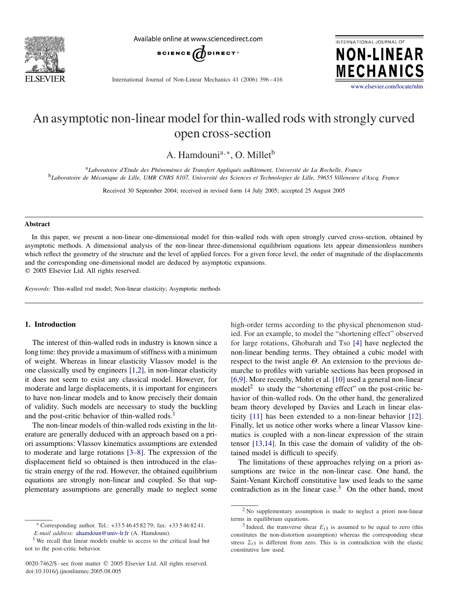

Available online at www.sciencedirect.com



INTERNATIONAL JOURNAL OF **NON-LINEAR MECHANICS** 

International Journal of Non-Linear Mechanics 41 (2006) 396 – 416

[www.elsevier.com/locate/nlm](http://www.elsevier.com/locate/nlm)

# An asymptotic non-linear model for thin-walled rods with strongly curved open cross-section

A. Hamdounia*,*<sup>∗</sup>, O. Milletb

<sup>a</sup>*Laboratoire d'Etude des Phénomènes de Transfert Appliqués auBâtiment, Université de La Rochelle, France* <sup>b</sup>*Laboratoire de Mécanique de Lille, UMR CNRS 8107, Université des Sciences et Technologies de Lille, 59655 Villeneuve d'Ascq, France*

Received 30 September 2004; received in revised form 14 July 2005; accepted 25 August 2005

#### **Abstract**

In this paper, we present a non-linear one-dimensional model for thin-walled rods with open strongly curved cross-section, obtained by asymptotic methods. A dimensional analysis of the non-linear three-dimensional equilibrium equations lets appear dimensionless numbers which reflect the geometry of the structure and the level of applied forces. For a given force level, the order of magnitude of the displacements and the corresponding one-dimensional model are deduced by asymptotic expansions. 2005 Elsevier Ltd. All rights reserved.

*Keywords:* Thin-walled rod model; Non-linear elasticity; Asymptotic methods

## **1. Introduction**

The interest of thin-walled rods in industry is known since a long time: they provide a maximum of stiffness with a minimum of weight. Whereas in linear elasticity Vlassov model is the one classically used by engineers [1,2], in non-linear elasticity it does not seem to exist any classical model. However, for moderate and large displacements, it is important for engineers to have non-linear models and to know precisely their domain of validity. Such models are necessary to study the buckling and the post-critic behavior of thin-walled rods. $<sup>1</sup>$ </sup>

The non-linear models of thin-walled rods existing in the literature are generally deduced with an approach based on a priori assumptions: Vlassov kinematics assumptions are extended to moderate and large rotations [3–8]. The expression of the displacement field so obtained is then introduced in the elastic strain energy of the rod. However, the obtained equilibrium equations are strongly non-linear and coupled. So that supplementary assumptions are generally made to neglect some high-order terms according to the physical phenomenon studied. For an example, to model the "shortening effect" observed for large rotations, Ghobarah and Tso [\[4\]](#page-19-0) have neglected the non-linear bending terms. They obtained a cubic model with respect to the twist angle  $\Theta$ . An extension to the previous demarche to profiles with variable sections has been proposed in [6,9]. More recently, Mohri et al. [\[10\]](#page-19-0) used a general non-linear model<sup>2</sup> to study the "shortening effect" on the post-critic behavior of thin-walled rods. On the other hand, the generalized beam theory developed by Davies and Leach in linear elasticity [\[11\]](#page-19-0) has been extended to a non-linear behavior [\[12\].](#page-19-0) Finally, let us notice other works where a linear Vlassov kinematics is coupled with a non-linear expression of the strain tensor [13,14]. In this case the domain of validity of the obtained model is difficult to specify.

The limitations of these approaches relying on a priori assumptions are twice in the non-linear case. One hand, the Saint-Venant Kirchoff constitutive law used leads to the same contradiction as in the linear case. $3$  On the other hand, most

<sup>∗</sup> Corresponding author. Tel.: +33 5 46 45 82 79; fax: +33 5 46 82 41. *E-mail address:* [ahamdoun@univ-lr.fr](mailto:ahamdoun@univ-lr.fr) (A. Hamdouni).

<sup>&</sup>lt;sup>1</sup> We recall that linear models enable to access to the critical load but not to the post-critic behavior.

<sup>0020-7462/\$ -</sup> see front matter © 2005 Elsevier Ltd. All rights reserved. doi:10.1016/j.ijnonlinmec.2005.08.005

<sup>2</sup> No supplementary assumption is made to neglect a priori non-linear terms in equilibrium equations.

 $3$  Indeed, the transverse shear  $E_{t3}$  is assumed to be equal to zero (this constitutes the non-distortion assumption) whereas the corresponding shear stress  $\Sigma_{t3}$  is different from zero. This is in contradiction with the elastic constitutive law used.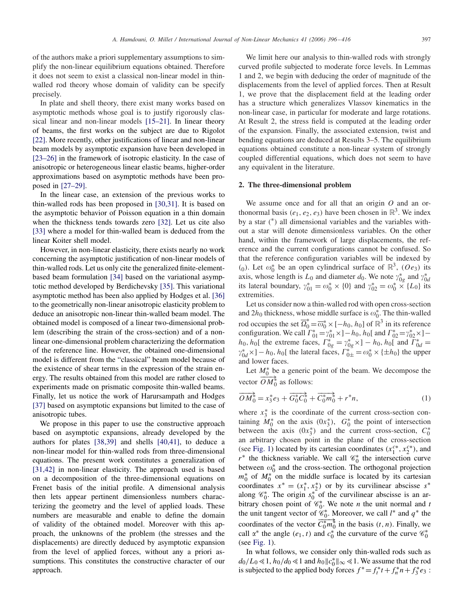of the authors make a priori supplementary assumptions to simplify the non-linear equilibrium equations obtained. Therefore it does not seem to exist a classical non-linear model in thinwalled rod theory whose domain of validity can be specify precisely.

In plate and shell theory, there exist many works based on asymptotic methods whose goal is to justify rigorously classical linear and non-linear models [15–21]. In linear theory of beams, the first works on the subject are due to Rigolot [\[22\].](#page-19-0) More recently, other justifications of linear and non-linear beam models by asymptotic expansion have been developed in [23–26] in the framework of isotropic elasticity. In the case of anisotropic or heterogeneous linear elastic beams, higher-order approximations based on asymptotic methods have been proposed in [27–29].

In the linear case, an extension of the previous works to thin-walled rods has been proposed in [30,31]. It is based on the asymptotic behavior of Poisson equation in a thin domain when the thickness tends towards zero [\[32\].](#page-20-0) Let us cite also [\[33\]](#page-20-0) where a model for thin-walled beam is deduced from the linear Koiter shell model.

However, in non-linear elasticity, there exists nearly no work concerning the asymptotic justification of non-linear models of thin-walled rods. Let us only cite the generalized finite-elementbased beam formulation [\[34\]](#page-20-0) based on the variational asymptotic method developed by Berdichevsky [\[35\].](#page-20-0) This variational asymptotic method has been also applied by Hodges et al. [\[36\]](#page-20-0) to the geometrically non-linear anisotropic elasticity problem to deduce an anisotropic non-linear thin-walled beam model. The obtained model is composed of a linear two-dimensional problem (describing the strain of the cross-section) and of a nonlinear one-dimensional problem characterizing the deformation of the reference line. However, the obtained one-dimensional model is different from the "classical" beam model because of the existence of shear terms in the expression of the strain energy. The results obtained from this model are rather closed to experiments made on prismatic composite thin-walled beams. Finally, let us notice the work of Harursampath and Hodges [\[37\]](#page-20-0) based on asymptotic expansions but limited to the case of anisotropic tubes.

We propose in this paper to use the constructive approach based on asymptotic expansions, already developed by the authors for plates [38,39] and shells [40,41], to deduce a non-linear model for thin-walled rods from three-dimensional equations. The present work constitutes a generalization of [31,42] in non-linear elasticity. The approach used is based on a decomposition of the three-dimensional equations on Frenet basis of the initial profile. A dimensional analysis then lets appear pertinent dimensionless numbers characterizing the geometry and the level of applied loads. These numbers are measurable and enable to define the domain of validity of the obtained model. Moreover with this approach, the unknowns of the problem (the stresses and the displacements) are directly deduced by asymptotic expansion from the level of applied forces, without any a priori assumptions. This constitutes the constructive character of our approach.

We limit here our analysis to thin-walled rods with strongly curved profile subjected to moderate force levels. In Lemmas 1 and 2, we begin with deducing the order of magnitude of the displacements from the level of applied forces. Then at Result 1, we prove that the displacement field at the leading order has a structure which generalizes Vlassov kinematics in the non-linear case, in particular for moderate and large rotations. At Result 2, the stress field is computed at the leading order of the expansion. Finally, the associated extension, twist and bending equations are deduced at Results 3–5. The equilibrium equations obtained constitute a non-linear system of strongly coupled differential equations, which does not seem to have any equivalent in the literature.

## **2. The three-dimensional problem**

We assume once and for all that an origin *O* and an orthonormal basis  $(e_1, e_2, e_3)$  have been chosen in  $\mathbb{R}^3$ . We index by a star *(* <sup>∗</sup>*)* all dimensional variables and the variables without a star will denote dimensionless variables. On the other hand, within the framework of large displacements, the reference and the current configurations cannot be confused. So that the reference configuration variables will be indexed by *(*<sub>0</sub>). Let  $\omega_0^*$  be an open cylindrical surface of  $\mathbb{R}^3$ , *(Oe<sub>3</sub>)* its axis, whose length is  $L_0$  and diameter  $d_0$ . We note  $\gamma_{0g}^*$  and  $\gamma_{0d}^*$ its lateral boundary,  $\gamma_{01}^* = \omega_0^* \times \{0\}$  and  $\gamma_{02}^* = \omega_0^* \times \{L_0\}$  its extremities.

Let us consider now a thin-walled rod with open cross-section and  $2h_0$  thickness, whose middle surface is  $\omega_0^*$ . The thin-walled rod occupies the set  $\overline{\Omega}_0^* = \overline{\omega}_0^* \times [-h_0, h_0]$  of  $\mathbb{R}^3$  in its reference configuration. We call  $\Gamma_{01}^* = \gamma_{01}^* \times (-h_0, h_0[$  and  $\Gamma_{02}^* = \gamma_{02}^* \times (-h_0, h_0[$ *h*<sub>0</sub>*, h*<sub>0</sub>[ the extreme faces,  $\Gamma_{0g}^{*} = \gamma_{0g}^{*} \times 1 - h_0$ *, h*<sub>0</sub>[ and  $\Gamma_{0d}^{*} =$  $\gamma_{0d}^* \times ] - h_0$ ,  $h_0[$  the lateral faces,  $\overline{\Gamma}_{0\pm}^* = \omega_0^* \times {\{\pm h_0\}}$  the upper and lower faces.

Let  $M_0^*$  be a generic point of the beam. We decompose the vector  $\overrightarrow{OM_0^*}$  as follows:

$$
\overrightarrow{OM_0^*} = x_3^* e_3 + \overrightarrow{G_0^* C_0^*} + \overrightarrow{C_0^* m_0^*} + r^* n,\tag{1}
$$

where  $x_3^*$  is the coordinate of the current cross-section containing  $M_0^*$  on the axis  $(0x_3^*)$ ,  $G_0^*$  the point of intersection between the axis  $(0x_3^*)$  and the current cross-section,  $C_0^*$ an arbitrary chosen point in the plane of the cross-section (see [Fig. 1\)](#page-2-0) located by its cartesian coordinates  $(x_1^{c*}, x_2^{c*})$ , and  $r^*$  the thickness variable. We call  $\mathcal{C}_0^*$  the intersection curve between  $\omega_0^*$  and the cross-section. The orthogonal projection  $m_0^*$  of  $M_0^*$  on the middle surface is located by its cartesian coordinates  $x^* = (x_1^*, x_2^*)$  or by its curvilinear abscisse  $s^*$ along  $\mathcal{C}_0^*$ . The origin  $s_0^*$  of the curvilinear abscisse is an arbitrary chosen point of  $\mathcal{C}_0^*$ . We note *n* the unit normal and *t* the unit tangent vector of  $\mathscr{C}_0^*$ . Moreover, we call  $l^*$  and  $q^*$  the coordinates of the vector  $\overline{C_0^* m_0^*}$  in the basis  $(t, n)$ . Finally, we call  $\alpha^*$  the angle  $(e_1, t)$  and  $c_0^*$  the curvature of the curve  $\mathcal{C}_0^*$ (see [Fig. 1\)](#page-2-0).

In what follows, we consider only thin-walled rods such as  $d_0/L_0 \ll 1$ ,  $h_0/d_0 \ll 1$  and  $h_0 || c_0^* ||_{\infty} \ll 1$ . We assume that the rod is subjected to the applied body forces  $f^* = f_t^* t + f_n^* n + f_3^* e_3$ :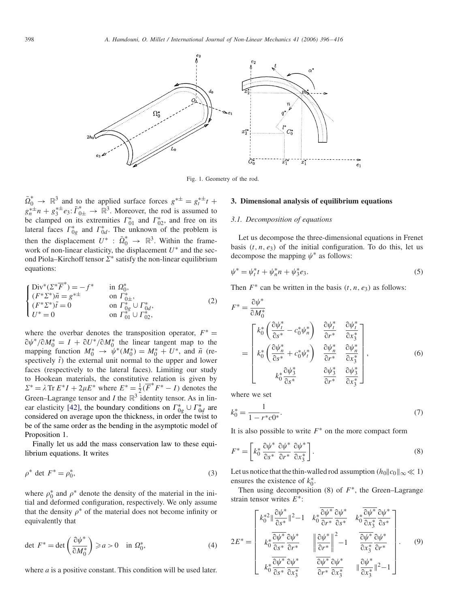<span id="page-2-0"></span>

Fig. 1. Geometry of the rod.

 $\overline{\Omega}_0^* \rightarrow \mathbb{R}^3$  and to the applied surface forces  $g^{*\pm} = g_t^{*\pm} t +$  $g_n^{\ast \pm} n + g_3^{\ast \pm} e_3$ :  $\overline{\Gamma}_{0 \pm}^* \rightarrow \overline{\mathbb{R}}^3$ . Moreover, the rod is assumed to be clamped on its extremities  $\Gamma_{01}^*$  and  $\Gamma_{02}^*$ , and free on its lateral faces  $\Gamma_{0g}^*$  and  $\Gamma_{0d}^*$ . The unknown of the problem is then the displacement  $U^*$  :  $\overline{\Omega}_0^* \rightarrow \mathbb{R}^3$ . Within the framework of non-linear elasticity, the displacement *U*<sup>∗</sup> and the second Piola–Kirchoff tensor  $\Sigma^*$  satisfy the non-linear equilibrium equations:

$$
\begin{cases}\n\text{Div}^*(\Sigma^* \overline{F}^*) = -f^* & \text{in } \Omega_0^*, \\
(F^* \Sigma^*) \tilde{n} = g^{*\pm} & \text{on } \Gamma_{0\pm}^*, \\
(F^* \Sigma^*) \tilde{t} = 0 & \text{on } \Gamma_{0g}^* \cup \Gamma_{0d}^*, \\
U^* = 0 & \text{on } \Gamma_{01}^* \cup \Gamma_{02}^*,\n\end{cases} (2)
$$

where the overbar denotes the transposition operator,  $F^* =$  $\partial \psi^* / \partial M_0^* = I + \partial U^* / \partial M_0^*$  the linear tangent map to the mapping function  $M_0^* \rightarrow \psi^*(M_0^*) = M_0^* + U^*$ , and  $\tilde{n}$  (respectively  $\tilde{t}$ ) the external unit normal to the upper and lower faces (respectively to the lateral faces). Limiting our study to Hookean materials, the constitutive relation is given by  $\Sigma^* = \lambda \operatorname{Tr} E^*I + 2\mu E^*$  where  $E^* = \frac{1}{2}(\overline{F}^*F^* - I)$  denotes the Green–Lagrange tensor and *I* the  $\mathbb{R}^3$  identity tensor. As in lin-ear elasticity [\[42\],](#page-20-0) the boundary conditions on  $\Gamma^*_{0g} \cup \Gamma^*_{0d}$  are considered on average upon the thickness, in order the twist to be of the same order as the bending in the asymptotic model of Proposition 1.

Finally let us add the mass conservation law to these equilibrium equations. It writes

$$
\rho^* \det F^* = \rho_0^*,\tag{3}
$$

where  $\rho_0^*$  and  $\rho^*$  denote the density of the material in the initial and deformed configuration, respectively. We only assume that the density  $\rho^*$  of the material does not become infinity or equivalently that

$$
\det \ F^* = \det \left( \frac{\partial \psi^*}{\partial M_0^*} \right) \geqslant a > 0 \quad \text{in } \Omega_0^*,\tag{4}
$$

where *a* is a positive constant. This condition will be used later.

## **3. Dimensional analysis of equilibrium equations**

## *3.1. Decomposition of equations*

Let us decompose the three-dimensional equations in Frenet basis  $(t, n, e_3)$  of the initial configuration. To do this, let us decompose the mapping  $\psi^*$  as follows:

$$
\psi^* = \psi_t^* t + \psi_n^* n + \psi_3^* e_3. \tag{5}
$$

Then  $F^*$  can be written in the basis  $(t, n, e_3)$  as follows:

$$
F^* = \frac{\partial \psi^*}{\partial M_0^*}
$$
  
\n
$$
= \begin{bmatrix}\nk_0^* \left( \frac{\partial \psi_i^*}{\partial s^*} - c_0^* \psi_n^* \right) & \frac{\partial \psi_i^*}{\partial r^*} & \frac{\partial \psi_i^*}{\partial x_3^*} \\
k_0^* \left( \frac{\partial \psi_n^*}{\partial s^*} + c_0^* \psi_i^* \right) & \frac{\partial \psi_n^*}{\partial r^*} & \frac{\partial \psi_n^*}{\partial x_3^*} \\
k_0^* \frac{\partial \psi_3^*}{\partial s^*} & \frac{\partial \psi_3^*}{\partial r^*} & \frac{\partial \psi_3^*}{\partial r^*}\n\end{bmatrix},
$$
\n(6)

where we set

$$
k_0^* = \frac{1}{1 - r^* c 0^*}.\tag{7}
$$

It is also possible to write  $F^*$  on the more compact form

$$
F^* = \left[k_0^* \frac{\partial \psi^*}{\partial s^*} \frac{\partial \psi^*}{\partial r^*} \frac{\partial \psi^*}{\partial x_3^*}\right].
$$
 (8)

Let us notice that the thin-walled rod assumption  $(h_0||c_0||_\infty \ll 1)$ ensures the existence of  $k_0^*$ .

Then using decomposition (8) of *F*∗, the Green–Lagrange strain tensor writes *E*∗:

$$
2E^* = \begin{bmatrix} k_0^{*2} \|\frac{\partial \psi^*}{\partial s^*}\|^2 - 1 & k_0^* \frac{\partial \psi^*}{\partial r^*} \frac{\partial \psi^*}{\partial s^*} & k_0^* \frac{\partial \psi^*}{\partial x_3^*} \frac{\partial \psi^*}{\partial s^*} \\ k_0^* \frac{\partial \psi^*}{\partial s^*} \frac{\partial \psi^*}{\partial r^*} & \|\frac{\partial \psi^*}{\partial r^*}\|^2 - 1 & \frac{\partial \psi^*}{\partial x_3^*} \frac{\partial \psi^*}{\partial r^*} \\ k_0^* \frac{\partial \psi^*}{\partial s^*} \frac{\partial \psi^*}{\partial x_3^*} & \frac{\partial \psi^*}{\partial r^*} \frac{\partial \psi^*}{\partial x_3^*} & \|\frac{\partial \psi^*}{\partial x_3^*}\|^2 - 1 \end{bmatrix} . \tag{9}
$$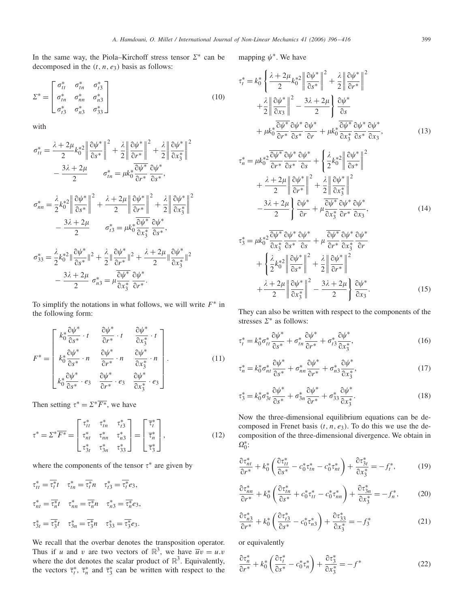In the same way, the Piola–Kirchoff stress tensor  $\Sigma^*$  can be decomposed in the  $(t, n, e_3)$  basis as follows:

$$
\Sigma^* = \begin{bmatrix} \sigma_{tt}^* & \sigma_{tn}^* & \sigma_{t3}^* \\ \sigma_{tn}^* & \sigma_{nn}^* & \sigma_{n3}^* \\ \sigma_{t3}^* & \sigma_{n3}^* & \sigma_{33}^* \end{bmatrix}
$$
 (10)

with

$$
\sigma_{tt}^* = \frac{\lambda + 2\mu}{2} k_0^{*2} \left\| \frac{\partial \psi^*}{\partial s^*} \right\|^2 + \frac{\lambda}{2} \left\| \frac{\partial \psi^*}{\partial r^*} \right\|^2 + \frac{\lambda}{2} \left\| \frac{\partial \psi^*}{\partial x_3^*} \right\|^2
$$

$$
- \frac{3\lambda + 2\mu}{2} \sigma_{tn}^* = \mu k_0^* \frac{\partial \psi^*}{\partial r^*} \frac{\partial \psi^*}{\partial s^*},
$$

$$
\sigma_{nn}^* = \frac{\lambda}{2} k_0^{*2} \left\| \frac{\partial \psi^*}{\partial s^*} \right\|^2 + \frac{\lambda + 2\mu}{2} \left\| \frac{\partial \psi^*}{\partial r^*} \right\|^2 + \frac{\lambda}{2} \left\| \frac{\partial \psi^*}{\partial x_3^*} \right\|^2
$$

$$
- \frac{3\lambda + 2\mu}{2} \sigma_{ts}^* = \mu k_0^* \frac{\partial \psi^*}{\partial x_3^*} \frac{\partial \psi^*}{\partial s^*},
$$

$$
\sigma_{33}^* = \frac{\lambda}{2} k_0^{*2} \left\| \frac{\partial \psi^*}{\partial s^*} \right\|^2 + \frac{\lambda}{2} \left\| \frac{\partial \psi^*}{\partial r^*} \right\|^2 + \frac{\lambda + 2\mu}{2} \left\| \frac{\partial \psi^*}{\partial x_3^*} \right\|^2
$$

$$
- \frac{3\lambda + 2\mu}{2} \sigma_{ns}^* = \mu \frac{\partial \psi^*}{\partial x_3^*} \frac{\partial \psi^*}{\partial r^*}.
$$

To simplify the notations in what follows, we will write *F*<sup>∗</sup> in the following form:

$$
F^* = \begin{bmatrix} k_0^* \frac{\partial \psi^*}{\partial s^*} \cdot t & \frac{\partial \psi^*}{\partial r^*} \cdot t & \frac{\partial \psi^*}{\partial x_3^*} \cdot t \\ k_0^* \frac{\partial \psi^*}{\partial s^*} \cdot n & \frac{\partial \psi^*}{\partial r^*} \cdot n & \frac{\partial \psi^*}{\partial x_3^*} \cdot n \\ k_0^* \frac{\partial \psi^*}{\partial s^*} \cdot e_3 & \frac{\partial \psi^*}{\partial r^*} \cdot e_3 & \frac{\partial \psi^*}{\partial x_3^*} \cdot e_3 \end{bmatrix} .
$$
 (11)

Then setting  $\tau^* = \Sigma^* \overline{F^*}$ , we have

$$
\tau^* = \Sigma^* \overline{F^*} = \begin{bmatrix} \tau_{tt}^* & \tau_{tn}^* & \tau_{t3}^* \\ \tau_{nt}^* & \tau_{nn}^* & \tau_{n3}^* \\ \tau_{3t}^* & \tau_{3n}^* & \tau_{33}^* \end{bmatrix} = \begin{bmatrix} \overline{\tau}_t^* \\ \overline{\tau}_n^* \\ \overline{\tau}_3^* \end{bmatrix},
$$
(12)

where the components of the tensor  $\tau^*$  are given by

$$
\tau_{tt}^* = \overline{\tau_t^*}t \quad \tau_{tn}^* = \overline{\tau_t^*}n \quad \tau_{t3}^* = \overline{\tau_t^*}e_3,
$$
  

$$
\tau_{nt}^* = \overline{\tau_n^*}t \quad \tau_{nn}^* = \overline{\tau_n^*}n \quad \tau_{n3}^* = \overline{\tau_n^*}e_3,
$$
  

$$
\tau_{3t}^* = \overline{\tau_3^*}t \quad \tau_{3n}^* = \overline{\tau_3^*}n \quad \tau_{33}^* = \overline{\tau_3^*}e_3.
$$

We recall that the overbar denotes the transposition operator. Thus if *u* and *v* are two vectors of  $\mathbb{R}^3$ , we have  $\overline{u}v = u.v$ where the dot denotes the scalar product of  $\mathbb{R}^3$ . Equivalently, the vectors  $\overline{\tau}_t^*$ ,  $\overline{\tau}_n^*$  and  $\overline{\tau}_3^*$  can be written with respect to the

mapping  $\psi^*$ . We have

$$
\tau_t^* = k_0^* \left\{ \frac{\lambda + 2\mu}{2} k_0^* \left\| \frac{\partial \psi^*}{\partial s^*} \right\|^2 + \frac{\lambda}{2} \left\| \frac{\partial \psi^*}{\partial r^*} \right\|^2 + \frac{\lambda}{2} \left\| \frac{\partial \psi^*}{\partial r^*} \right\|^2 + \frac{\lambda}{2} \left\| \frac{\partial \psi^*}{\partial x_3} \right\|^2 - \frac{3\lambda + 2\mu}{2} \right\} \frac{\partial \psi^*}{\partial s} + \mu k_0^* \frac{\partial \psi^*}{\partial r^*} \frac{\partial \psi^*}{\partial s^*} \frac{\partial \psi^*}{\partial r} + \mu k_0^* \frac{\partial \psi^*}{\partial x_3^*} \frac{\partial \psi^*}{\partial s^*} \frac{\partial \psi^*}{\partial x_3}, \tag{13}
$$

$$
\tau_n^* = \mu k_0^* \frac{\partial \psi^*}{\partial r^*} \frac{\partial \psi^*}{\partial s^*} \frac{\partial \psi^*}{\partial s} + \left\{ \frac{\lambda}{2} k_0^* \left\| \frac{\partial \psi^*}{\partial s^*} \right\|^2 \right. \\ \left. + \frac{\lambda + 2\mu}{2} \left\| \frac{\partial \psi^*}{\partial r^*} \right\|^2 + \frac{\lambda}{2} \left\| \frac{\partial \psi^*}{\partial x_3^*} \right\|^2 \right. \\ \left. - \frac{3\lambda + 2\mu}{2} \right\} \frac{\partial \psi^*}{\partial r} + \mu \frac{\partial \psi^*}{\partial x_3^*} \frac{\partial \psi^*}{\partial r^*} \frac{\partial \psi^*}{\partial x_3}, \tag{14}
$$

$$
\tau_3^* = \mu k_0^{*2} \frac{\partial \psi^*}{\partial x_3^*} \frac{\partial \psi^*}{\partial s^*} \frac{\partial \psi^*}{\partial s} + \mu \frac{\partial \psi^*}{\partial r^*} \frac{\partial \psi^*}{\partial x_3^*} \frac{\partial \psi^*}{\partial r} + \left\{ \frac{\lambda}{2} k_0^{*2} \left\| \frac{\partial \psi^*}{\partial s^*} \right\|^2 + \frac{\lambda}{2} \left\| \frac{\partial \psi^*}{\partial r^*} \right\|^2 + \frac{\lambda}{2} \left\| \frac{\partial \psi^*}{\partial r^*} \right\|^2 + \frac{\lambda + 2\mu}{2} \left\| \frac{\partial \psi^*}{\partial x_3^*} \right\|^2 - \frac{3\lambda + 2\mu}{2} \right\} \frac{\partial \psi^*}{\partial x_3}.
$$
 (15)

They can also be written with respect to the components of the stresses  $\Sigma^*$  as follows:

$$
\tau_t^* = k_0^* \sigma_{tt}^* \frac{\partial \psi^*}{\partial s^*} + \sigma_{tn}^* \frac{\partial \psi^*}{\partial r^*} + \sigma_{t3}^* \frac{\partial \psi^*}{\partial x_3^*},\tag{16}
$$

$$
\tau_n^* = k_0^* \sigma_{nt}^* \frac{\partial \psi^*}{\partial s^*} + \sigma_{nn}^* \frac{\partial \psi^*}{\partial r^*} + \sigma_{n3}^* \frac{\partial \psi^*}{\partial x_3^*},\tag{17}
$$

$$
\tau_3^* = k_0^* \sigma_{3t}^* \frac{\partial \psi^*}{\partial s^*} + \sigma_{3n}^* \frac{\partial \psi^*}{\partial r^*} + \sigma_{33}^* \frac{\partial \psi^*}{\partial x_3^*}.
$$
 (18)

Now the three-dimensional equilibrium equations can be decomposed in Frenet basis *(t, n, e*3*)*. To do this we use the decomposition of the three-dimensional divergence. We obtain in  $\Omega_0^*$ :

$$
\frac{\partial \tau_{nt}^*}{\partial r^*} + k_0^* \left( \frac{\partial \tau_{tt}^*}{\partial s^*} - c_0^* \tau_{tn}^* - c_0^* \tau_{nt}^* \right) + \frac{\partial \tau_{3t}^*}{\partial x_3^*} = -f_t^*,\tag{19}
$$

$$
\frac{\partial \tau_{nn}^*}{\partial r^*} + k_0^* \left( \frac{\partial \tau_{tn}^*}{\partial s^*} + c_0^* \tau_{tt}^* - c_0^* \tau_{nn}^* \right) + \frac{\partial \tau_{3n}^*}{\partial x_3^*} = -f_n^*,\tag{20}
$$

$$
\frac{\partial \tau_{n3}^*}{\partial r^*} + k_0^* \left( \frac{\partial \tau_{t3}^*}{\partial s^*} - c_0^* \tau_{n3}^* \right) + \frac{\partial \tau_{33}^*}{\partial x_3^*} = -f_3^* \tag{21}
$$

or equivalently

$$
\frac{\partial \tau_n^*}{\partial r^*} + k_0^* \left( \frac{\partial \tau_l^*}{\partial s^*} - c_0^* \tau_n^* \right) + \frac{\partial \tau_3^*}{\partial x_3^*} = -f^* \tag{22}
$$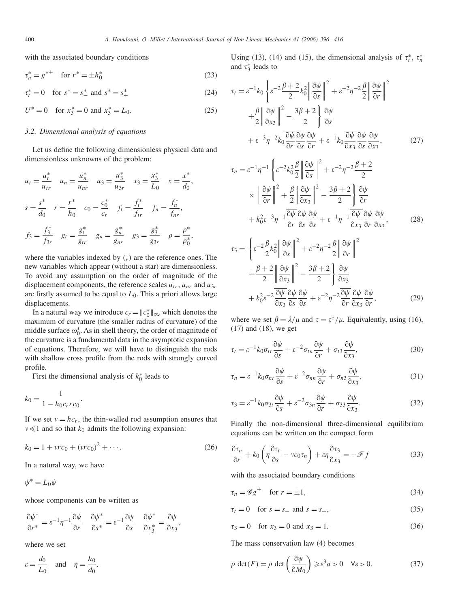with the associated boundary conditions

$$
\tau_n^* = g^{*\pm} \quad \text{for } r^* = \pm h_0^* \tag{23}
$$

$$
\tau_t^* = 0 \quad \text{for } s^* = s^*_- \text{ and } s^* = s^*_+ \tag{24}
$$

$$
U^* = 0 \quad \text{for } x_3^* = 0 \text{ and } x_3^* = L_0. \tag{25}
$$

#### *3.2. Dimensional analysis of equations*

Let us define the following dimensionless physical data and dimensionless unknowns of the problem:

$$
u_{t} = \frac{u_{t}^{*}}{u_{tr}} \quad u_{n} = \frac{u_{n}^{*}}{u_{nr}} \quad u_{3} = \frac{u_{3}^{*}}{u_{3r}} \quad x_{3} = \frac{x_{3}^{*}}{L_{0}} \quad x = \frac{x^{*}}{d_{0}},
$$
  

$$
s = \frac{s^{*}}{d_{0}} \quad r = \frac{r^{*}}{h_{0}} \quad c_{0} = \frac{c_{0}^{*}}{c_{r}} \quad f_{t} = \frac{f_{t}^{*}}{f_{tr}} \quad f_{n} = \frac{f_{n}^{*}}{f_{nr}},
$$
  

$$
f_{3} = \frac{f_{3}^{*}}{f_{3r}} \quad g_{t} = \frac{g_{t}^{*}}{g_{tr}} \quad g_{n} = \frac{g_{n}^{*}}{g_{nr}} \quad g_{3} = \frac{g_{3}^{*}}{g_{3r}} \quad \rho = \frac{\rho^{*}}{\rho_{0}^{*}},
$$

where the variables indexed by  $\binom{r}{r}$  are the reference ones. The new variables which appear (without a star) are dimensionless. To avoid any assumption on the order of magnitude of the displacement components, the reference scales  $u_{tr}$ ,  $u_{nr}$  and  $u_{3r}$ are firstly assumed to be equal to  $L_0$ . This a priori allows large displacements.

In a natural way we introduce  $c_r = ||c_0^*||_{\infty}$  which denotes the maximum of curvature (the smaller radius of curvature) of the middle surface  $\omega_0^*$ . As in shell theory, the order of magnitude of the curvature is a fundamental data in the asymptotic expansion of equations. Therefore, we will have to distinguish the rods with shallow cross profile from the rods with strongly curved profile.

First the dimensional analysis of  $k_0^*$  leads to

$$
k_0 = \frac{1}{1 - h_0 c_r r c_0}.
$$

If we set  $v = hc_r$ , the thin-walled rod assumption ensures that  $v \ll 1$  and so that  $k_0$  admits the following expansion:

$$
k_0 = 1 + vrc_0 + (vrc_0)^2 + \cdots.
$$
 (26)

In a natural way, we have

 $\psi^* = L_0 \psi$ 

whose components can be written as

$$
\frac{\partial \psi^*}{\partial r^*} = \varepsilon^{-1} \eta^{-1} \frac{\partial \psi}{\partial r} \quad \frac{\partial \psi^*}{\partial s^*} = \varepsilon^{-1} \frac{\partial \psi}{\partial s} \quad \frac{\partial \psi^*}{\partial x_3^*} = \frac{\partial \psi}{\partial x_3},
$$

where we set

$$
\varepsilon = \frac{d_0}{L_0} \quad \text{and} \quad \eta = \frac{h_0}{d_0}.
$$

Using (13), (14) and (15), the dimensional analysis of  $\tau_t^*$ ,  $\tau_n^*$ and  $\tau_3^*$  leads to

$$
\tau_t = \varepsilon^{-1} k_0 \left\{ \varepsilon^{-2} \frac{\beta + 2}{2} k_0^2 \left\| \frac{\partial \psi}{\partial s} \right\|^2 + \varepsilon^{-2} \eta^{-2} \frac{\beta}{2} \left\| \frac{\partial \psi}{\partial r} \right\|^2 + \frac{\beta}{2} \left\| \frac{\partial \psi}{\partial x_3} \right\|^2 - \frac{3\beta + 2}{2} \right\} \frac{\partial \psi}{\partial s} + \varepsilon^{-3} \eta^{-2} k_0 \frac{\partial \psi}{\partial r} \frac{\partial \psi}{\partial s} \frac{\partial \psi}{\partial r} + \varepsilon^{-1} k_0 \frac{\partial \psi}{\partial x_3} \frac{\partial \psi}{\partial s} \frac{\partial \psi}{\partial s_3}, \tag{27}
$$

$$
\tau_n = \varepsilon^{-1} \eta^{-1} \left\{ \varepsilon^{-2} k_0^2 \frac{\beta}{2} \left\| \frac{\partial \psi}{\partial s} \right\|^2 + \varepsilon^{-2} \eta^{-2} \frac{\beta + 2}{2} \right\}
$$

$$
\times \left\| \frac{\partial \psi}{\partial r} \right\|^2 + \frac{\beta}{2} \left\| \frac{\partial \psi}{\partial x_3} \right\|^2 - \frac{3\beta + 2}{2} \left\{ \frac{\partial \psi}{\partial r} \right\}
$$

$$
+ k_0^2 \varepsilon^{-3} \eta^{-1} \frac{\partial \psi}{\partial r} \frac{\partial \psi}{\partial s} \frac{\partial \psi}{\partial s} + \varepsilon^{-1} \eta^{-1} \frac{\partial \psi}{\partial x_3} \frac{\partial \psi}{\partial r} \frac{\partial \psi}{\partial x_3}, \tag{28}
$$

$$
\tau_3 = \left\{ \varepsilon^{-2} \frac{\beta}{2} k_0^2 \left\| \frac{\partial \psi}{\partial s} \right\|^2 + \varepsilon^{-2} \eta^{-2} \frac{\beta}{2} \left\| \frac{\partial \psi}{\partial r} \right\|^2 + \frac{\beta + 2}{2} \left\| \frac{\partial \psi}{\partial x_3} \right\|^2 - \frac{3\beta + 2}{2} \right\} \frac{\partial \psi}{\partial x_3} + k_0^2 \varepsilon^{-2} \frac{\partial \psi}{\partial x_3} \frac{\partial \psi}{\partial s} \frac{\partial \psi}{\partial s} + \varepsilon^{-2} \eta^{-2} \frac{\partial \psi}{\partial r} \frac{\partial \psi}{\partial x_3} \frac{\partial \psi}{\partial r}, \tag{29}
$$

where we set  $\beta = \lambda/\mu$  and  $\tau = \tau^*/\mu$ . Equivalently, using (16), (17) and (18), we get

$$
\tau_t = \varepsilon^{-1} k_0 \sigma_{tt} \frac{\partial \psi}{\partial s} + \varepsilon^{-2} \sigma_{tn} \frac{\partial \psi}{\partial r} + \sigma_{t3} \frac{\partial \psi}{\partial x_3},\tag{30}
$$

$$
\tau_n = \varepsilon^{-1} k_0 \sigma_{nt} \frac{\partial \psi}{\partial s} + \varepsilon^{-2} \sigma_{nn} \frac{\partial \psi}{\partial r} + \sigma_{n3} \frac{\partial \psi}{\partial x_3},\tag{31}
$$

$$
\tau_3 = \varepsilon^{-1} k_0 \sigma_{3t} \frac{\partial \psi}{\partial s} + \varepsilon^{-2} \sigma_{3n} \frac{\partial \psi}{\partial r} + \sigma_{33} \frac{\partial \psi}{\partial x_3}.
$$
 (32)

Finally the non-dimensional three-dimensional equilibrium equations can be written on the compact form

$$
\frac{\partial \tau_n}{\partial r} + k_0 \left( \eta \frac{\partial \tau_t}{\partial s} - v c_0 \tau_n \right) + \varepsilon \eta \frac{\partial \tau_3}{\partial x_3} = -\mathscr{F} f \tag{33}
$$

with the associated boundary conditions

$$
\tau_n = \mathcal{G} g^{\pm} \quad \text{for } r = \pm 1,\tag{34}
$$

 $\tau_t = 0$  for  $s = s_+$  and  $s = s_+$ , (35)

$$
\tau_3 = 0
$$
 for  $x_3 = 0$  and  $x_3 = 1$ . (36)

The mass conservation law (4) becomes

$$
\rho \det(F) = \rho \det\left(\frac{\partial \psi}{\partial M_0}\right) \ge \varepsilon^3 a > 0 \quad \forall \varepsilon > 0. \tag{37}
$$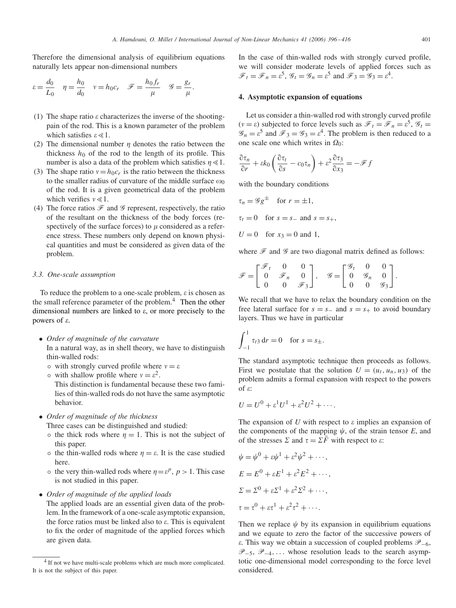Therefore the dimensional analysis of equilibrium equations naturally lets appear non-dimensional numbers

$$
\varepsilon = \frac{d_0}{L_0} \quad \eta = \frac{h_0}{d_0} \quad v = h_0 c_r \quad \mathscr{F} = \frac{h_0 f_r}{\mu} \quad \mathscr{G} = \frac{g_r}{\mu}.
$$

- (1) The shape ratio  $\varepsilon$  characterizes the inverse of the shootingpain of the rod. This is a known parameter of the problem which satisfies  $\epsilon \ll 1$ .
- (2) The dimensional number  $\eta$  denotes the ratio between the thickness  $h_0$  of the rod to the length of its profile. This number is also a data of the problem which satisfies  $\eta \ll 1$ .
- (3) The shape ratio  $v = h_0 c_r$  is the ratio between the thickness to the smaller radius of curvature of the middle surface  $\omega_0$ of the rod. It is a given geometrical data of the problem which verifies  $v \ll 1$ .
- (4) The force ratios  $\mathcal F$  and  $\mathcal G$  represent, respectively, the ratio of the resultant on the thickness of the body forces (respectively of the surface forces) to  $\mu$  considered as a reference stress. These numbers only depend on known physical quantities and must be considered as given data of the problem.

## *3.3. One-scale assumption*

To reduce the problem to a one-scale problem,  $\varepsilon$  is chosen as the small reference parameter of the problem. $<sup>4</sup>$  Then the other</sup> dimensional numbers are linked to  $\varepsilon$ , or more precisely to the powers of  $\varepsilon$ .

- *Order of magnitude of the curvature* In a natural way, as in shell theory, we have to distinguish thin-walled rods:
	- with strongly curved profile where  $v = \varepsilon$
	- with shallow profile where  $v = \varepsilon^2$ . This distinction is fundamental because these two fami-

lies of thin-walled rods do not have the same asymptotic behavior.

• *Order of magnitude of the thickness*

Three cases can be distinguished and studied:

- the thick rods where  $\eta = 1$ . This is not the subject of this paper.
- the thin-walled rods where  $\eta = \varepsilon$ . It is the case studied here.
- $\circ$  the very thin-walled rods where  $\eta = \varepsilon^p$ ,  $p > 1$ . This case is not studied in this paper.
- *Order of magnitude of the applied loads*

The applied loads are an essential given data of the problem. In the framework of a one-scale asymptotic expansion, the force ratios must be linked also to  $\varepsilon$ . This is equivalent to fix the order of magnitude of the applied forces which are given data.

In the case of thin-walled rods with strongly curved profile, we will consider moderate levels of applied forces such as  $\mathcal{F}_t = \mathcal{F}_n = \varepsilon^5$ ,  $\mathcal{G}_t = \mathcal{G}_n = \varepsilon^5$  and  $\mathcal{F}_3 = \mathcal{G}_3 = \varepsilon^4$ .

# **4. Asymptotic expansion of equations**

Let us consider a thin-walled rod with strongly curved profile  $(v = \varepsilon)$  subjected to force levels such as  $\mathcal{F}_t = \mathcal{F}_n = \varepsilon^5$ ,  $\mathcal{G}_t =$  $\mathscr{G}_n = \varepsilon^5$  and  $\mathscr{F}_3 = \mathscr{G}_3 = \varepsilon^4$ . The problem is then reduced to a one scale one which writes in  $\Omega_0$ :

$$
\frac{\partial \tau_n}{\partial r} + \varepsilon k_0 \left( \frac{\partial \tau_t}{\partial s} - c_0 \tau_n \right) + \varepsilon^2 \frac{\partial \tau_3}{\partial x_3} = -\mathscr{F} f
$$

with the boundary conditions

- $\tau_n = \mathscr{G} g^{\pm}$  for  $r = \pm 1$ ,
- $\tau_t = 0$  for  $s = s_+$  and  $s = s_+$ ,
- $U = 0$  for  $x_3 = 0$  and 1,

where  $\mathcal F$  and  $\mathcal G$  are two diagonal matrix defined as follows:

$$
\mathcal{F} = \begin{bmatrix} \mathcal{F}_t & 0 & 0 \\ 0 & \mathcal{F}_n & 0 \\ 0 & 0 & \mathcal{F}_3 \end{bmatrix}, \quad \mathcal{G} = \begin{bmatrix} \mathcal{G}_t & 0 & 0 \\ 0 & \mathcal{G}_n & 0 \\ 0 & 0 & \mathcal{G}_3 \end{bmatrix}.
$$

We recall that we have to relax the boundary condition on the free lateral surface for  $s = s_-\text{ and } s = s_+$  to avoid boundary layers. Thus we have in particular

$$
\int_{-1}^{1} \tau_{t3} \, \mathrm{d}r = 0 \quad \text{for } s = s_{\pm}.
$$

The standard asymptotic technique then proceeds as follows. First we postulate that the solution  $U = (u_t, u_n, u_3)$  of the problem admits a formal expansion with respect to the powers of  $\varepsilon$ :

$$
U = U^0 + \varepsilon^1 U^1 + \varepsilon^2 U^2 + \cdots
$$

The expansion of  $U$  with respect to  $\varepsilon$  implies an expansion of the components of the mapping  $\psi$ , of the strain tensor *E*, and of the stresses  $\Sigma$  and  $\tau = \Sigma \overline{F}$  with respect to  $\varepsilon$ .

$$
\psi = \psi^0 + \varepsilon \psi^1 + \varepsilon^2 \psi^2 + \cdots,
$$
  
\n
$$
E = E^0 + \varepsilon E^1 + \varepsilon^2 E^2 + \cdots,
$$
  
\n
$$
\Sigma = \Sigma^0 + \varepsilon \Sigma^1 + \varepsilon^2 \Sigma^2 + \cdots,
$$
  
\n
$$
\tau = \tau^0 + \varepsilon \tau^1 + \varepsilon^2 \tau^2 + \cdots.
$$

Then we replace  $\psi$  by its expansion in equilibrium equations and we equate to zero the factor of the successive powers of ε. This way we obtain a succession of coupled problems  $\mathcal{P}_{-6}$ ,  $\mathscr{P}_{-5}$ ,  $\mathscr{P}_{-4}$ ,... whose resolution leads to the search asymptotic one-dimensional model corresponding to the force level considered.

<sup>&</sup>lt;sup>4</sup> If not we have multi-scale problems which are much more complicated. It is not the subject of this paper.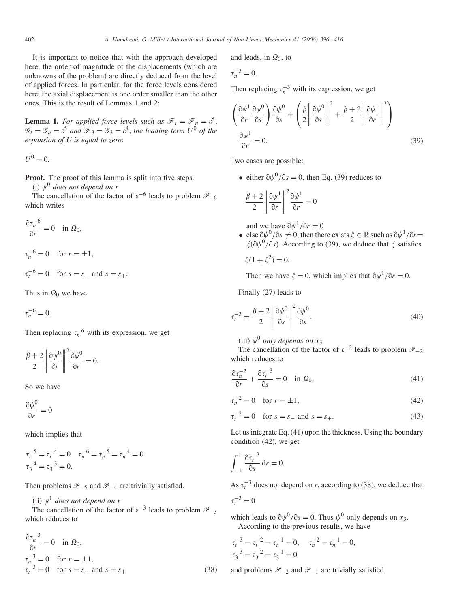It is important to notice that with the approach developed here, the order of magnitude of the displacements (which are unknowns of the problem) are directly deduced from the level of applied forces. In particular, for the force levels considered here, the axial displacement is one order smaller than the other ones. This is the result of Lemmas 1 and 2:

**Lemma 1.** *For applied force levels such as*  $\mathcal{F}_t = \mathcal{F}_n = \varepsilon^5$ ,  $\mathcal{G}_t = \mathcal{G}_n = \varepsilon^5$  and  $\mathcal{F}_3 = \mathcal{G}_3 = \varepsilon^4$ , the leading term  $U^0$  of the *expansion of U is equal to zero*:

 $U^0 = 0$ .

**Proof.** The proof of this lemma is split into five steps.

(i)  $\psi^0$  does not depend on r

The cancellation of the factor of  $\varepsilon^{-6}$  leads to problem  $\mathscr{P}_{-6}$ which writes

$$
\frac{\partial \tau_n^{-6}}{\partial r} = 0 \quad \text{in } \Omega_0,
$$
  

$$
\tau_n^{-6} = 0 \quad \text{for } r = \pm 1,
$$

$$
\tau_t^{-6} = 0
$$
 for  $s = s_-$  and  $s = s_+$ .

Thus in  $\Omega_0$  we have

 $\tau_n^{-6} = 0.$ 

Then replacing  $\tau_n^{-6}$  with its expression, we get

$$
\frac{\beta+2}{2}\left\|\frac{\partial\psi^0}{\partial r}\right\|^2\frac{\partial\psi^0}{\partial r}=0.
$$

So we have

 $\partial \psi^0$  $\frac{\partial \varphi}{\partial r} = 0$ 

which implies that

$$
\tau_t^{-5} = \tau_t^{-4} = 0 \quad \tau_n^{-6} = \tau_n^{-5} = \tau_n^{-4} = 0
$$
  

$$
\tau_3^{-4} = \tau_3^{-3} = 0.
$$

Then problems  $\mathcal{P}_{-5}$  and  $\mathcal{P}_{-4}$  are trivially satisfied.

(ii)  $\psi^1$  does not depend on r

The cancellation of the factor of  $\varepsilon^{-3}$  leads to problem  $\mathscr{P}_{-3}$ which reduces to

$$
\frac{\partial \tau_n^{-3}}{\partial r} = 0 \quad \text{in } \Omega_0,
$$
  
\n
$$
\tau_n^{-3} = 0 \quad \text{for } r = \pm 1,
$$
  
\n
$$
\tau_t^{-3} = 0 \quad \text{for } s = s_- \text{ and } s = s_+
$$
\n(38)

and leads, in  $\Omega_0$ , to

$$
\tau_n^{-3} = 0.
$$

Then replacing  $\tau_n^{-3}$  with its expression, we get

$$
\left(\frac{\partial \psi^1}{\partial r} \frac{\partial \psi^0}{\partial s}\right) \frac{\partial \psi^0}{\partial s} + \left(\frac{\beta}{2} \left\| \frac{\partial \psi^0}{\partial s} \right\|^2 + \frac{\beta + 2}{2} \left\| \frac{\partial \psi^1}{\partial r} \right\|^2\right)
$$

$$
\frac{\partial \psi^1}{\partial r} = 0.
$$
(39)

Two cases are possible:

• either  $\partial \psi^0 / \partial s = 0$ , then Eq. (39) reduces to

$$
\frac{\beta+2}{2} \left\| \frac{\partial \psi^1}{\partial r} \right\|^2 \frac{\partial \psi^1}{\partial r} = 0
$$

and we have  $\partial \psi^1 / \partial r = 0$ 

• else  $\partial \psi^0 / \partial s \neq 0$ , then there exists  $\xi \in \mathbb{R}$  such as  $\partial \psi^1 / \partial r =$  $\zeta$ ( $\partial \psi^0$ / $\partial s$ ). According to (39), we deduce that  $\zeta$  satisfies

 $\xi(1 + \xi^2) = 0.$ 

Then we have  $\xi = 0$ , which implies that  $\partial \psi^1 / \partial r = 0$ .

Finally (27) leads to

$$
\tau_t^{-3} = \frac{\beta + 2}{2} \left\| \frac{\partial \psi^0}{\partial s} \right\|^2 \frac{\partial \psi^0}{\partial s}.
$$
\n(40)

(iii)  $\psi^0$  *only depends on*  $x_3$ 

The cancellation of the factor of  $\varepsilon^{-2}$  leads to problem  $\mathscr{P}_$ which reduces to

$$
\frac{\partial \tau_n^{-2}}{\partial r} + \frac{\partial \tau_t^{-3}}{\partial s} = 0 \quad \text{in } \Omega_0,\tag{41}
$$

$$
\tau_n^{-2} = 0 \quad \text{for } r = \pm 1,\tag{42}
$$

$$
\tau_t^{-2} = 0 \quad \text{for } s = s_- \text{ and } s = s_+.
$$
 (43)

Let us integrate Eq. (41) upon the thickness. Using the boundary condition (42), we get

$$
\int_{-1}^{1} \frac{\partial \tau_t^{-3}}{\partial s} dr = 0.
$$

As  $\tau_t^{-3}$  does not depend on *r*, according to (38), we deduce that

$$
\tau_t^{-3} = 0
$$

which leads to  $\partial \psi^0 / \partial s = 0$ . Thus  $\psi^0$  only depends on *x*<sub>3</sub>. According to the previous results, we have

$$
\tau_t^{-3} = \tau_t^{-2} = \tau_t^{-1} = 0, \quad \tau_n^{-2} = \tau_n^{-1} = 0,
$$
  

$$
\tau_3^{-3} = \tau_3^{-2} = \tau_3^{-1} = 0
$$

and problems  $\mathscr{P}_{-2}$  and  $\mathscr{P}_{-1}$  are trivially satisfied.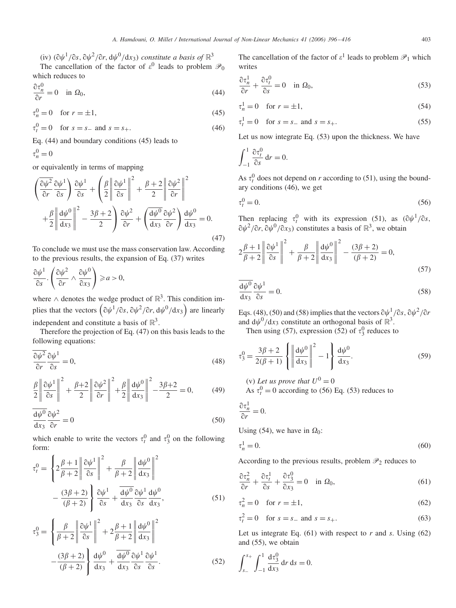(iv)  $(\partial \psi^1/\partial s, \partial \psi^2/\partial r, d\psi^0/dx_3)$  *constitute a basis of*  $\mathbb{R}^3$ 

The cancellation of the factor of  $\varepsilon^0$  leads to problem  $\mathcal{P}_0$ which reduces to

$$
\frac{\partial \tau_n^0}{\partial r} = 0 \quad \text{in } \Omega_0,\tag{44}
$$

 $\tau_n^0 = 0 \quad \text{for } r = \pm 1,$  (45)

 $\tau_t^0 = 0$  for  $s = s_+$  and  $s = s_+$ . (46)

Eq. (44) and boundary conditions (45) leads to

 $\tau_n^0=0$ 

or equivalently in terms of mapping

$$
\left(\frac{\partial \psi^2}{\partial r} \frac{\partial \psi^1}{\partial s}\right) \frac{\partial \psi^1}{\partial s} + \left(\frac{\beta}{2} \left\| \frac{\partial \psi^1}{\partial s} \right\|^2 + \frac{\beta + 2}{2} \left\| \frac{\partial \psi^2}{\partial r} \right\|^2
$$

$$
+ \frac{\beta}{2} \left\| \frac{\mathrm{d}\psi^0}{\mathrm{d}x_3} \right\|^2 - \frac{3\beta + 2}{2} \right) \frac{\partial \psi^2}{\partial r} + \left(\frac{\mathrm{d}\psi^0}{\mathrm{d}x_3} \frac{\partial \psi^2}{\partial r} \right) \frac{\mathrm{d}\psi^0}{\mathrm{d}x_3} = 0.
$$
(47)

To conclude we must use the mass conservation law. According to the previous results, the expansion of Eq. (37) writes

$$
\frac{\partial \psi^1}{\partial s} \cdot \left( \frac{\partial \psi^2}{\partial r} \wedge \frac{\partial \psi^0}{\partial x_3} \right) \geq a > 0,
$$

where  $\wedge$  denotes the wedge product of  $\mathbb{R}^3$ . This condition implies that the vectors  $(\partial \psi^1 / \partial s, \partial \psi^2 / \partial r, d\psi^0 / dx_3)$  are linearly independent and constitute a basis of  $\mathbb{R}^3$ .

Therefore the projection of Eq. (47) on this basis leads to the following equations:

$$
\frac{\partial \psi^2}{\partial r} \frac{\partial \psi^1}{\partial s} = 0,\tag{48}
$$

$$
\frac{\beta}{2} \left\| \frac{\partial \psi^1}{\partial s} \right\|^2 + \frac{\beta + 2}{2} \left\| \frac{\partial \psi^2}{\partial r} \right\|^2 + \frac{\beta}{2} \left\| \frac{\mathrm{d}\psi^0}{\mathrm{d}x_3} \right\|^2 - \frac{3\beta + 2}{2} = 0,\tag{49}
$$

$$
\frac{\overline{\mathrm{d}\psi^0}}{\mathrm{d}x_3} \frac{\partial \psi^2}{\partial r} = 0 \tag{50}
$$

which enable to write the vectors  $\tau_t^0$  and  $\tau_3^0$  on the following form:

$$
\tau_t^0 = \left\{ 2\frac{\beta + 1}{\beta + 2} \left\| \frac{\partial \psi^1}{\partial s} \right\|^2 + \frac{\beta}{\beta + 2} \left\| \frac{d\psi^0}{dx_3} \right\|^2 - \frac{(3\beta + 2)}{(\beta + 2)} \right\} \frac{\partial \psi^1}{\partial s} + \frac{d\psi^0}{dx_3} \frac{\partial \psi^1}{\partial s} \frac{d\psi^0}{dx_3},
$$
\n
$$
\tau_3^0 = \left\{ \frac{\beta}{\beta + 2} \left\| \frac{\partial \psi^1}{\partial s} \right\|^2 + 2\frac{\beta + 1}{\beta + 2} \left\| \frac{d\psi^0}{dx_3} \right\|^2 \right\}
$$
\n(51)

$$
-\frac{(3\beta+2)}{(\beta+2)}\left\{\frac{\mathrm{d}\psi^0}{\mathrm{d}x_3}+\frac{\overline{\mathrm{d}\psi^0}}{\mathrm{d}x_3}\frac{\partial\psi^1}{\partial s}\frac{\partial\psi^1}{\partial s}.\right.
$$
 (52)

The cancellation of the factor of  $\varepsilon^1$  leads to problem  $\mathcal{P}_1$  which writes

$$
\frac{\partial \tau_n^1}{\partial r} + \frac{\partial \tau_t^0}{\partial s} = 0 \quad \text{in } \Omega_0,\tag{53}
$$

$$
\tau_n^1 = 0 \quad \text{for } r = \pm 1,\tag{54}
$$

$$
\tau_t^1 = 0
$$
 for  $s = s_-$  and  $s = s_+$ . (55)

Let us now integrate Eq. (53) upon the thickness. We have

$$
\int_{-1}^{1} \frac{\partial \tau_t^0}{\partial s} dr = 0.
$$

As  $\tau_t^0$  does not depend on *r* according to (51), using the boundary conditions (46), we get

$$
\tau_t^0 = 0. \tag{56}
$$

Then replacing  $\tau_t^0$  with its expression (51), as  $(\partial \psi^1 / \partial s,$  $\partial \psi^2 / \partial r$ ,  $\partial \psi^0 / \partial x_3$ ) constitutes a basis of  $\mathbb{R}^3$ , we obtain

$$
2\frac{\beta+1}{\beta+2}\left\|\frac{\partial\psi^1}{\partial s}\right\|^2 + \frac{\beta}{\beta+2}\left\|\frac{\mathrm{d}\psi^0}{\mathrm{d}x_3}\right\|^2 - \frac{(3\beta+2)}{(\beta+2)} = 0,\tag{57}
$$

$$
\frac{\overline{\mathrm{d}\psi^0}}{\mathrm{d}x_3} \frac{\partial \psi^1}{\partial s} = 0. \tag{58}
$$

Eqs. (48), (50) and (58) implies that the vectors  $\partial \psi^1 / \partial s$ ,  $\partial \psi^2 / \partial r$ and  $d\psi^{0}/dx_{3}$  constitute an orthogonal basis of  $\mathbb{R}^{3}$ .

Then using (57), expression (52) of  $\tau_3^0$  reduces to

$$
\tau_3^0 = \frac{3\beta + 2}{2(\beta + 1)} \left\{ \left\| \frac{\mathrm{d}\psi^0}{\mathrm{d}x_3} \right\|^2 - 1 \right\} \frac{\mathrm{d}\psi^0}{\mathrm{d}x_3}.
$$
 (59)

(v) Let us prove that  $U^0 = 0$ 

As  $\tau_t^0 = 0$  according to (56) Eq. (53) reduces to

$$
\frac{\partial \tau_n^1}{\partial r} = 0.
$$

Using (54), we have in  $\Omega_0$ :

$$
\tau_n^1 = 0.\tag{60}
$$

According to the previous results, problem  $\mathcal{P}_2$  reduces to

$$
\frac{\partial \tau_n^2}{\partial r} + \frac{\partial \tau_t^1}{\partial s} + \frac{\partial \tau_3^0}{\partial x_3} = 0 \quad \text{in } \Omega_0,\tag{61}
$$

$$
\tau_n^2 = 0 \quad \text{for } r = \pm 1,\tag{62}
$$

$$
\tau_t^2 = 0 \quad \text{for } s = s_- \text{ and } s = s_+.
$$
 (63)

Let us integrate Eq.  $(61)$  with respect to  $r$  and  $s$ . Using  $(62)$ and (55), we obtain

$$
\int_{s_-}^{s_+} \int_{-1}^1 \frac{\mathrm{d}\tau_3^0}{\mathrm{d}x_3} \, \mathrm{d}r \, \mathrm{d}s = 0.
$$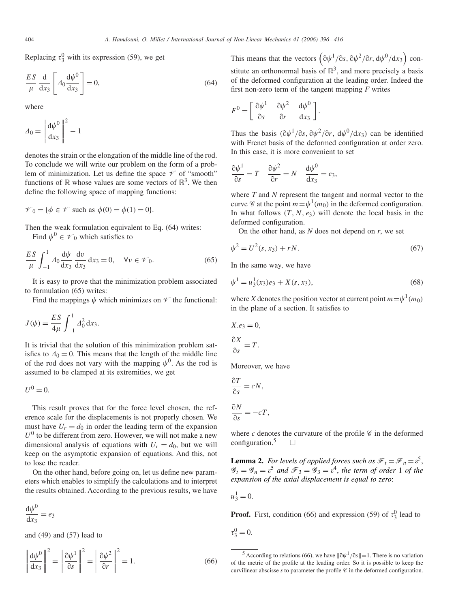Replacing  $\tau_3^0$  with its expression (59), we get

$$
\frac{ES}{\mu} \frac{d}{dx_3} \left[ A_0 \frac{d\psi^0}{dx_3} \right] = 0,
$$
\n(64)

where

$$
\varDelta_0 = \left\| \frac{\mathrm{d}\psi^0}{\mathrm{d}x_3} \right\|^2 - 1
$$

denotes the strain or the elongation of the middle line of the rod. To conclude we will write our problem on the form of a problem of minimization. Let us define the space  $\mathscr V$  of "smooth" functions of R whose values are some vectors of  $\mathbb{R}^3$ . We then define the following space of mapping functions:

$$
\mathcal{V}_0 = \{ \phi \in \mathcal{V} \text{ such as } \phi(0) = \phi(1) = 0 \}.
$$

Then the weak formulation equivalent to Eq. (64) writes: Find  $\psi^0 \in \mathscr{V}_0$  which satisfies to

$$
\frac{ES}{\mu} \int_{-1}^{1} \Delta_0 \frac{\mathrm{d}\psi}{\mathrm{d}x_3} \frac{\mathrm{d}v}{\mathrm{d}x_3} \, \mathrm{d}x_3 = 0, \quad \forall v \in \mathcal{V}_0. \tag{65}
$$

It is easy to prove that the minimization problem associated to formulation (65) writes:

Find the mappings  $\psi$  which minimizes on  $\mathcal V$  the functional:

$$
J(\psi) = \frac{ES}{4\mu} \int_{-1}^{1} A_0^2 dx_3.
$$

It is trivial that the solution of this minimization problem satisfies to  $\Delta_0 = 0$ . This means that the length of the middle line of the rod does not vary with the mapping  $\psi^0$ . As the rod is assumed to be clamped at its extremities, we get

 $U^0 = 0$ .

This result proves that for the force level chosen, the reference scale for the displacements is not properly chosen. We must have  $U_r = d_0$  in order the leading term of the expansion  $U^0$  to be different from zero. However, we will not make a new dimensional analysis of equations with  $U_r = d_0$ , but we will keep on the asymptotic expansion of equations. And this, not to lose the reader.

On the other hand, before going on, let us define new parameters which enables to simplify the calculations and to interpret the results obtained. According to the previous results, we have

$$
\frac{\mathrm{d}\psi^0}{\mathrm{d}x_3} = e_3
$$

and (49) and (57) lead to

$$
\left\| \frac{d\psi^0}{dx_3} \right\|^2 = \left\| \frac{\partial \psi^1}{\partial s} \right\|^2 = \left\| \frac{\partial \psi^2}{\partial r} \right\|^2 = 1.
$$
 (66)

This means that the vectors  $(\partial \psi^1 / \partial s, \partial \psi^2 / \partial r, d\psi^0 / dx_3)$  constitute an orthonormal basis of  $\mathbb{R}^3$ , and more precisely a basis of the deformed configuration at the leading order. Indeed the first non-zero term of the tangent mapping *F* writes

$$
F^{0} = \left[ \frac{\partial \psi^{1}}{\partial s} \quad \frac{\partial \psi^{2}}{\partial r} \quad \frac{\mathrm{d}\psi^{0}}{\mathrm{d}x_{3}} \right].
$$

Thus the basis  $(\partial \psi^1 / \partial s, \partial \psi^2 / \partial r, d\psi^0 / dx_3)$  can be identified with Frenet basis of the deformed configuration at order zero. In this case, it is more convenient to set

$$
\frac{\partial \psi^1}{\partial s} = T \quad \frac{\partial \psi^2}{\partial r} = N \quad \frac{\mathrm{d}\psi^0}{\mathrm{d}x_3} = e_3,
$$

where *T* and *N* represent the tangent and normal vector to the curve *C* at the point  $m = \psi^1(m_0)$  in the deformed configuration. In what follows  $(T, N, e_3)$  will denote the local basis in the deformed configuration.

On the other hand, as *N* does not depend on *r*, we set

$$
\psi^2 = U^2(s, x_3) + rN. \tag{67}
$$

In the same way, we have

$$
\psi^1 = u_3^1(x_3)e_3 + X(s, x_3),\tag{68}
$$

where *X* denotes the position vector at current point  $m = \psi^1(m_0)$ in the plane of a section. It satisfies to

$$
X.e_3 = 0,
$$
  

$$
\frac{\partial X}{\partial s} = T.
$$

Moreover, we have

$$
\frac{\partial T}{\partial s} = cN,
$$
  

$$
\frac{\partial N}{\partial s} = cN,
$$

 $\frac{\partial N}{\partial s} = -cT,$ 

where  $c$  denotes the curvature of the profile  $\mathscr C$  in the deformed configuration.<sup>5</sup>  $\Box$ 

**Lemma 2.** *For levels of applied forces such as*  $\mathcal{F}_t = \mathcal{F}_n = \varepsilon^5$ ,  $\mathscr{G}_t = \mathscr{G}_n = \varepsilon^5$  and  $\mathscr{F}_3 = \mathscr{G}_3 = \varepsilon^4$ , the term of order 1 of the *expansion of the axial displacement is equal to zero*:

$$
u_3^1=0.
$$

**Proof.** First, condition (66) and expression (59) of  $\tau_3^0$  lead to

 $\tau_3^0 = 0.$ 

<sup>&</sup>lt;sup>5</sup> According to relations (66), we have  $\|\partial \psi^1 / \partial s\| = 1$ . There is no variation of the metric of the profile at the leading order. So it is possible to keep the curvilinear abscisse  $s$  to parameter the profile  $\mathscr C$  in the deformed configuration.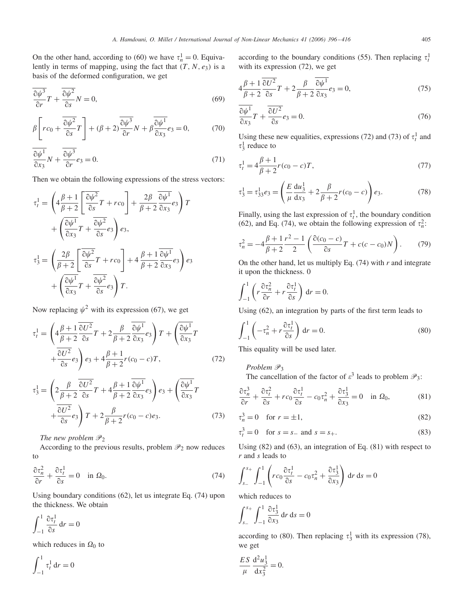On the other hand, according to (60) we have  $\tau_n^1 = 0$ . Equivalently in terms of mapping, using the fact that  $(T, N, e_3)$  is a basis of the deformed configuration, we get

$$
\frac{\overline{\partial \psi^3}}{\partial r}T + \frac{\overline{\partial \psi^2}}{\partial s}N = 0, \tag{69}
$$

$$
\beta \left[ rc_0 + \frac{\overline{\partial \psi^2}}{\partial s} T \right] + (\beta + 2) \frac{\overline{\partial \psi^3}}{\partial r} N + \beta \frac{\overline{\partial \psi^1}}{\partial x_3} e_3 = 0, \tag{70}
$$

$$
\frac{\overline{\partial \psi^1}}{\overline{\partial x_3}} N + \frac{\overline{\partial \psi^3}}{\overline{\partial r}} e_3 = 0.
$$
 (71)

Then we obtain the following expressions of the stress vectors:

$$
\tau_t^1 = \left(4\frac{\beta+1}{\beta+2}\left[\frac{\partial\psi^2}{\partial s}T + rc_0\right] + \frac{2\beta}{\beta+2}\frac{\partial\psi^1}{\partial x_3}e_3\right)T
$$

$$
+ \left(\frac{\partial\psi^1}{\partial x_3}T + \frac{\partial\psi^2}{\partial s}e_3\right)e_3,
$$

$$
\tau_3^1 = \left(\frac{2\beta}{\beta+2}\left[\frac{\partial\psi^2}{\partial s}T + rc_0\right] + 4\frac{\beta+1}{\beta+2}\frac{\partial\psi^1}{\partial x_3}e_3\right)e_3
$$

$$
+ \left(\frac{\partial\psi^1}{\partial x_3}T + \frac{\partial\psi^2}{\partial s}e_3\right)T.
$$

Now replacing  $\psi^2$  with its expression (67), we get

$$
\tau_t^1 = \left( 4 \frac{\beta + 1}{\beta + 2} \frac{\overline{\partial U^2}}{\overline{\partial s}} T + 2 \frac{\beta}{\beta + 2} \frac{\overline{\partial \psi^1}}{\overline{\partial x_3}} e_3 \right) T + \left( \frac{\overline{\partial \psi^1}}{\overline{\partial x_3}} T + \frac{\overline{\partial U^2}}{\overline{\partial s}} e_3 \right) e_3 + 4 \frac{\beta + 1}{\beta + 2} r (c_0 - c) T, \tag{72}
$$

$$
\tau_3^1 = \left(2\frac{\beta}{\beta+2}\frac{\overline{\partial U^2}}{\overline{\partial s}}T + 4\frac{\beta+1}{\beta+2}\frac{\overline{\partial \psi^1}}{\overline{\partial x_3}}e_3\right)e_3 + \left(\frac{\overline{\partial \psi^1}}{\overline{\partial x_3}}T + \frac{\overline{\partial U^2}}{\overline{\partial s}}e_3\right)T + 2\frac{\beta}{\beta+2}r(c_0 - c)e_3.
$$
\n(73)

*The new problem*  $\mathcal{P}_2$ 

According to the previous results, problem  $\mathcal{P}_2$  now reduces to

$$
\frac{\partial \tau_n^2}{\partial r} + \frac{\partial \tau_t^1}{\partial s} = 0 \quad \text{in } \Omega_0. \tag{74}
$$

Using boundary conditions (62), let us integrate Eq. (74) upon the thickness. We obtain

$$
\int_{-1}^{1} \frac{\partial \tau_t^1}{\partial s} dr = 0
$$

which reduces in  $\Omega_0$  to

$$
\int_{-1}^1 \tau_t^1 \, \mathrm{d}r = 0
$$

according to the boundary conditions (55). Then replacing  $\tau_t^1$ with its expression (72), we get

$$
4\frac{\beta+1}{\beta+2} \frac{\partial U^2}{\partial s} T + 2\frac{\beta}{\beta+2} \frac{\partial \psi^1}{\partial x_3} e_3 = 0, \tag{75}
$$

$$
\frac{\overline{\partial \psi^1}}{\overline{\partial x_3}} T + \frac{\overline{\partial U^2}}{\overline{\partial s}} e_3 = 0. \tag{76}
$$

Using these new equalities, expressions (72) and (73) of  $\tau_t^1$  and  $\tau_3^1$  reduce to

$$
\tau_t^1 = 4\frac{\beta+1}{\beta+2}r(c_0 - c)T,\tag{77}
$$

$$
\tau_3^1 = \tau_{33}^1 e_3 = \left(\frac{E}{\mu} \frac{\mathrm{d}u_3^1}{\mathrm{d}x_3} + 2\frac{\beta}{\beta + 2} r(c_0 - c)\right) e_3. \tag{78}
$$

Finally, using the last expression of  $\tau_t^1$ , the boundary condition (62), and Eq. (74), we obtain the following expression of  $\tau_n^2$ :

$$
\tau_n^2 = -4\frac{\beta+1}{\beta+2}\frac{r^2-1}{2}\left(\frac{\partial(c_0-c)}{\partial s}T + c(c-c_0)N\right). \tag{79}
$$

On the other hand, let us multiply Eq. (74) with *r* and integrate it upon the thickness. 0

$$
\int_{-1}^{1} \left( r \frac{\partial \tau_n^2}{\partial r} + r \frac{\partial \tau_t^1}{\partial s} \right) dr = 0.
$$

Using (62), an integration by parts of the first term leads to

$$
\int_{-1}^{1} \left( -\tau_n^2 + r \frac{\partial \tau_t^1}{\partial s} \right) dr = 0.
$$
 (80)

This equality will be used later.

Problem  $\mathscr{P}_3$ 

The cancellation of the factor of  $\varepsilon^3$  leads to problem  $\mathcal{P}_3$ :

$$
\frac{\partial \tau_n^3}{\partial r} + \frac{\partial \tau_t^2}{\partial s} + rc_0 \frac{\partial \tau_t^1}{\partial s} - c_0 \tau_n^2 + \frac{\partial \tau_3^1}{\partial x_3} = 0 \quad \text{in } \Omega_0,\tag{81}
$$

$$
\tau_n^3 = 0 \quad \text{for } r = \pm 1,\tag{82}
$$

$$
\tau_t^3 = 0 \quad \text{for } s = s_- \text{ and } s = s_+.
$$
 (83)

Using (82) and (63), an integration of Eq. (81) with respect to *r* and *s* leads to

$$
\int_{s_-}^{s_+} \int_{-1}^1 \left( r c_0 \frac{\partial \tau_t^1}{\partial s} - c_0 \tau_n^2 + \frac{\partial \tau_3^1}{\partial x_3} \right) dr ds = 0
$$

which reduces to

$$
\int_{s_-}^{s_+} \int_{-1}^1 \frac{\partial \tau_3^1}{\partial x_3} dr ds = 0
$$

according to (80). Then replacing  $\tau_3^1$  with its expression (78), we get

$$
\frac{ES}{\mu} \frac{\mathrm{d}^2 u_3^1}{\mathrm{d} x_3^2} = 0.
$$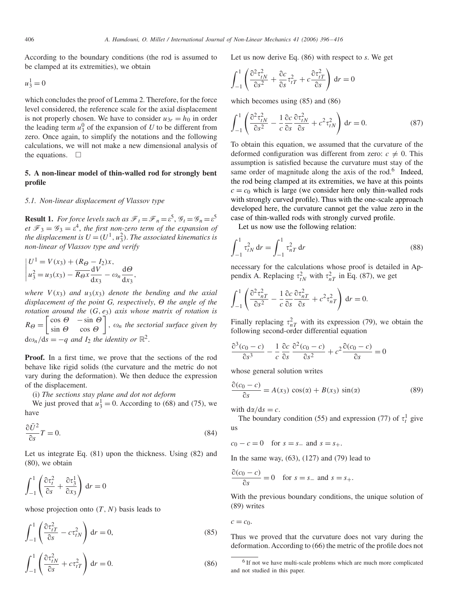According to the boundary conditions (the rod is assumed to be clamped at its extremities), we obtain

$$
u_3^1=0
$$

which concludes the proof of Lemma 2. Therefore, for the force level considered, the reference scale for the axial displacement is not properly chosen. We have to consider  $u_{3r} = h_0$  in order the leading term  $u_3^0$  of the expansion of *U* to be different from zero. Once again, to simplify the notations and the following calculations, we will not make a new dimensional analysis of the equations.  $\Box$ 

# **5. A non-linear model of thin-walled rod for strongly bent profile**

#### *5.1. Non-linear displacement of Vlassov type*

**Result 1.** *For force levels such as*  $\mathcal{F}_t = \mathcal{F}_n = \varepsilon^5$ ,  $\mathcal{G}_t = \mathcal{G}_n = \varepsilon^5$ *et*  $\mathcal{F}_3 = \mathcal{G}_3 = \varepsilon^4$ , *the first non-zero term of the expansion of the displacement is*  $U = (U^1, u_3^2)$ . *The associated kinematics is non-linear of Vlassov type and verify*

$$
\begin{aligned} U^1 &= V(x_3) + (R_{\Theta} - I_2)x, \\ u_3^2 &= u_3(x_3) - \overline{R_{\Theta}x} \frac{\mathrm{d}V}{\mathrm{d}x_3} - \omega_n \frac{\mathrm{d}\Theta}{\mathrm{d}x_3}, \end{aligned}
$$

*where*  $V(x_3)$  *and*  $u_3(x_3)$  *denote the bending and the axial displacement of the point G, respectively,*  $\Theta$  *the angle of the rotation around the (G, e*3*) axis whose matrix of rotation is*  $R_{\Theta} = \begin{bmatrix} \cos \Theta & -\sin \Theta \\ \sin \Theta & \cos \Theta \end{bmatrix}$  $\sin \theta$  cos  $\theta$  $\bigg\}$ ,  $\omega_n$  *the sectorial surface given by*  $d\omega_n/ds = -q$  *and*  $I_2$  *the identity or*  $\mathbb{R}^2$ .

**Proof.** In a first time, we prove that the sections of the rod behave like rigid solids (the curvature and the metric do not vary during the deformation). We then deduce the expression of the displacement.

(i) *The sections stay plane and dot not deform*

We just proved that  $u_3^1 = 0$ . According to (68) and (75), we have

$$
\frac{\partial \bar{U}^2}{\partial s}T = 0. \tag{84}
$$

Let us integrate Eq. (81) upon the thickness. Using (82) and (80), we obtain

$$
\int_{-1}^{1} \left( \frac{\partial \tau_t^2}{\partial s} + \frac{\partial \tau_3^1}{\partial x_3} \right) dr = 0
$$

whose projection onto  $(T, N)$  basis leads to

$$
\int_{-1}^{1} \left( \frac{\partial \tau_{tT}^2}{\partial s} - c \tau_{tN}^2 \right) dr = 0,
$$
\n(85)

$$
\int_{-1}^{1} \left( \frac{\partial \tau_{tN}^2}{\partial s} + c \tau_{tT}^2 \right) dr = 0.
$$
 (86)

Let us now derive Eq. (86) with respect to *s*. We get

$$
\int_{-1}^{1} \left( \frac{\partial^2 \tau_{tN}^2}{\partial s^2} + \frac{\partial c}{\partial s} \tau_{tT}^2 + c \frac{\partial \tau_{tT}^2}{\partial s} \right) dr = 0
$$

which becomes using (85) and (86)

$$
\int_{-1}^{1} \left( \frac{\partial^2 \tau_{tN}^2}{\partial s^2} - \frac{1}{c} \frac{\partial c}{\partial s} \frac{\partial \tau_{tN}^2}{\partial s} + c^2 \tau_{tN}^2 \right) dr = 0.
$$
 (87)

To obtain this equation, we assumed that the curvature of the deformed configuration was different from zero:  $c \neq 0$ . This assumption is satisfied because the curvature must stay of the same order of magnitude along the axis of the rod.<sup>6</sup> Indeed, the rod being clamped at its extremities, we have at this points  $c = c_0$  which is large (we consider here only thin-walled rods with strongly curved profile). Thus with the one-scale approach developed here, the curvature cannot get the value zero in the case of thin-walled rods with strongly curved profile.

Let us now use the following relation:

$$
\int_{-1}^{1} \tau_{tN}^{2} dr = \int_{-1}^{1} \tau_{nT}^{2} dr
$$
 (88)

necessary for the calculations whose proof is detailed in Appendix A. Replacing  $\tau_{tN}^2$  with  $\tau_{nT}^2$  in Eq. (87), we get

$$
\int_{-1}^{1} \left( \frac{\partial^2 \tau_{nT}^2}{\partial s^2} - \frac{1}{c} \frac{\partial c}{\partial s} \frac{\partial \tau_{nT}^2}{\partial s} + c^2 \tau_{nT}^2 \right) dr = 0.
$$

Finally replacing  $\tau_{nT}^2$  with its expression (79), we obtain the following second-order differential equation

$$
\frac{\partial^3(c_0 - c)}{\partial s^3} - \frac{1}{c} \frac{\partial c}{\partial s} \frac{\partial^2(c_0 - c)}{\partial s^2} + c^2 \frac{\partial(c_0 - c)}{\partial s} = 0
$$

whose general solution writes

$$
\frac{\partial (c_0 - c)}{\partial s} = A(x_3) \cos(\alpha) + B(x_3) \sin(\alpha) \tag{89}
$$

with  $d\alpha/ds = c$ .

The boundary condition (55) and expression (77) of  $\tau_t^1$  give us

$$
c_0 - c = 0 \quad \text{for } s = s_- \text{ and } s = s_+.
$$

In the same way, (63), (127) and (79) lead to

$$
\frac{\partial (c_0 - c)}{\partial s} = 0 \quad \text{for } s = s_- \text{ and } s = s_+.
$$

With the previous boundary conditions, the unique solution of (89) writes

$$
c=c_0.
$$

Thus we proved that the curvature does not vary during the deformation. According to (66) the metric of the profile does not

<sup>&</sup>lt;sup>6</sup> If not we have multi-scale problems which are much more complicated and not studied in this paper.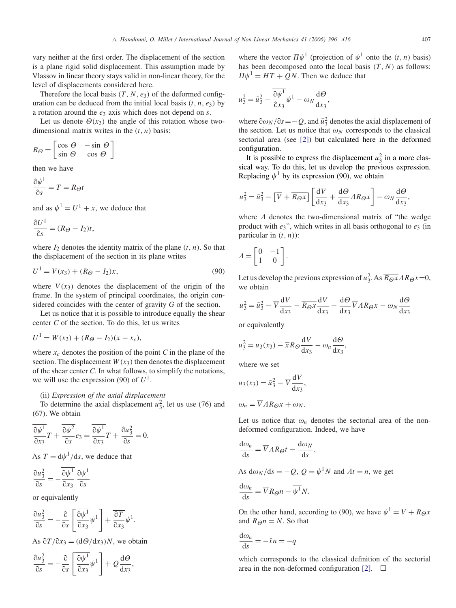vary neither at the first order. The displacement of the section is a plane rigid solid displacement. This assumption made by Vlassov in linear theory stays valid in non-linear theory, for the level of displacements considered here.

Therefore the local basis  $(T, N, e_3)$  of the deformed configuration can be deduced from the initial local basis  $(t, n, e_3)$  by a rotation around the *e*<sup>3</sup> axis which does not depend on *s*.

Let us denote  $\Theta(x_3)$  the angle of this rotation whose twodimensional matrix writes in the  $(t, n)$  basis:

$$
R_{\Theta} = \begin{bmatrix} \cos \Theta & -\sin \Theta \\ \sin \Theta & \cos \Theta \end{bmatrix}
$$

then we have

$$
\frac{\partial \psi^1}{\partial s} = T = R_{\Theta} t
$$

and as  $\psi^1 = U^1 + x$ , we deduce that

$$
\frac{\partial U^1}{\partial s} = (R_{\Theta} - I_2)t,
$$

where  $I_2$  denotes the identity matrix of the plane  $(t, n)$ . So that the displacement of the section in its plane writes

$$
U^{1} = V(x_{3}) + (R_{\Theta} - I_{2})x, \qquad (90)
$$

where  $V(x_3)$  denotes the displacement of the origin of the frame. In the system of principal coordinates, the origin considered coincides with the center of gravity *G* of the section.

Let us notice that it is possible to introduce equally the shear center *C* of the section. To do this, let us writes

$$
U^{1} = W(x_{3}) + (R_{\Theta} - I_{2})(x - x_{c}),
$$

where  $x_c$  denotes the position of the point *C* in the plane of the section. The displacement  $W(x_3)$  then denotes the displacement of the shear center *C*. In what follows, to simplify the notations, we will use the expression (90) of  $U^1$ .

# (ii) *Expression of the axial displacement*

To determine the axial displacement  $u_3^2$ , let us use (76) and (67). We obtain

$$
\frac{\overline{\partial \psi^1}}{\overline{\partial x_3}}T + \frac{\overline{\partial \psi^2}}{\overline{\partial s}}e_3 = \frac{\overline{\partial \psi^1}}{\overline{\partial x_3}}T + \frac{\partial u_3^2}{\overline{\partial s}} = 0.
$$

As  $T = d\psi^1/ds$ , we deduce that

$$
\frac{\partial u_3^2}{\partial s} = -\frac{\overline{\partial \psi^1}}{\partial x_3} \frac{\partial \psi^1}{\partial s}
$$

or equivalently

$$
\frac{\partial u_3^2}{\partial s} = -\frac{\partial}{\partial s} \left[ \frac{\partial \psi^1}{\partial x_3} \psi^1 \right] + \frac{\overline{\partial T}}{\partial x_3} \psi^1.
$$

As  $\partial T / \partial x_3 = (d\Theta / dx_3)N$ , we obtain

$$
\frac{\partial u_3^2}{\partial s} = -\frac{\partial}{\partial s} \left[ \frac{\partial \psi^1}{\partial x_3} \psi^1 \right] + Q \frac{\mathrm{d} \Theta}{\mathrm{d} x_3},
$$

where the vector  $\Pi \psi^1$  (projection of  $\psi^1$  onto the  $(t, n)$  basis) has been decomposed onto the local basis  $(T, N)$  as follows:  $\Pi \psi^1 = HT + QN$ . Then we deduce that

$$
u_3^2 = \bar{u}_3^2 - \frac{\partial \psi^1}{\partial x_3} \psi^1 - \omega_N \frac{\mathrm{d}\Theta}{\mathrm{d}x_3},
$$

where  $\frac{\partial \omega_N}{\partial s} = -Q$ , and  $\bar{u}_3^2$  denotes the axial displacement of the section. Let us notice that  $\omega_N$  corresponds to the classical sectorial area (see [\[2\]\)](#page-19-0) but calculated here in the deformed configuration.

It is possible to express the displacement  $u_3^2$  in a more classical way. To do this, let us develop the previous expression. Replacing  $\psi^1$  by its expression (90), we obtain

$$
u_3^2 = \bar{u}_3^2 - \left[\overline{V} + \overline{R_{\Theta}x}\right] \left[\frac{\mathrm{d}V}{\mathrm{d}x_3} + \frac{\mathrm{d}\Theta}{\mathrm{d}x_3} AR_{\Theta}x\right] - \omega_N \frac{\mathrm{d}\Theta}{\mathrm{d}x_3},
$$

where  $\Lambda$  denotes the two-dimensional matrix of "the wedge product with  $e_3$ ", which writes in all basis orthogonal to  $e_3$  (in particular in *(t, n)*):

$$
A = \begin{bmatrix} 0 & -1 \\ 1 & 0 \end{bmatrix}.
$$

Let us develop the previous expression of  $u_3^2$ . As  $\overline{R_{\Theta}x} \Lambda R_{\Theta}x=0$ , we obtain

$$
u_3^2 = \bar{u}_3^2 - \overline{V} \frac{dV}{dx_3} - \overline{R_{\Theta}x} \frac{dV}{dx_3} - \frac{d\Theta}{dx_3} \overline{V} A R_{\Theta} x - \omega_N \frac{d\Theta}{dx_3}
$$

or equivalently

$$
u_3^2 = u_3(x_3) - \overline{x} \overline{R}_{\Theta} \frac{\mathrm{d}V}{\mathrm{d}x_3} - \omega_n \frac{\mathrm{d}\Theta}{\mathrm{d}x_3},
$$

where we set

$$
u_3(x_3) = \bar{u}_3^2 - \overline{V} \frac{dV}{dx_3},
$$
  

$$
\omega_n = \overline{V} A R_\Theta x + \omega_N.
$$

Let us notice that  $\omega_n$  denotes the sectorial area of the nondeformed configuration. Indeed, we have

$$
\frac{\mathrm{d}\omega_n}{\mathrm{d}s} = \overline{V} A R \omega t - \frac{\mathrm{d}\omega_N}{\mathrm{d}s}.
$$

As  $d\omega_N/ds = -Q$ ,  $Q = \overline{\psi^1}N$  and  $\Lambda t = n$ , we get

$$
\frac{\mathrm{d}\omega_n}{\mathrm{d}s} = \overline{V}R_{\Theta}n - \overline{\psi^1}N.
$$

On the other hand, according to (90), we have  $\psi^1 = V + R_{\Theta}x$ and  $R_{\Theta} n = N$ . So that

$$
\frac{\mathrm{d}\omega_n}{\mathrm{d}s} = -\bar{x}n = -q
$$

which corresponds to the classical definition of the sectorial area in the non-deformed configuration [\[2\].](#page-19-0)  $\Box$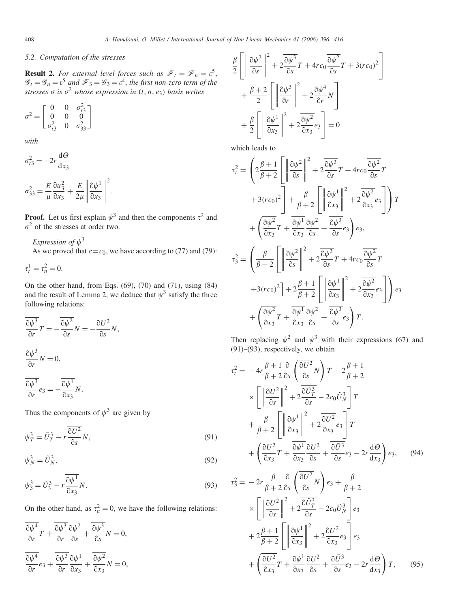# *5.2. Computation of the stresses*

**Result 2.** For external level forces such as  $\mathscr{F}_t = \mathscr{F}_n = \varepsilon^5$ ,  $\mathscr{G}_t = \mathscr{G}_n = \varepsilon^5$  and  $\mathscr{F}_3 = \mathscr{G}_3 = \varepsilon^4$ , the first non-zero term of the  $s$ *tresses*  $\sigma$  *is*  $\sigma^2$  *whose expression in*  $(t, n, e_3)$  *basis writes* 

$$
\sigma^2 = \begin{bmatrix} 0 & 0 & \sigma_{t3}^2 \\ 0 & 0 & 0 \\ \sigma_{t3}^2 & 0 & \sigma_{33}^2 \end{bmatrix}
$$

*with*

$$
\sigma_{t3}^2 = -2r \frac{d\Theta}{dx_3}
$$

$$
\sigma_{33}^2 = \frac{E}{\mu} \frac{\partial u_3^2}{\partial x_3} + \frac{E}{2\mu} \left\| \frac{\partial \psi^1}{\partial x_3} \right\|^2.
$$

**Proof.** Let us first explain  $\psi^3$  and then the components  $\tau^2$  and  $\sigma^2$  of the stresses at order two.

*Expression of*  $\psi^3$ As we proved that  $c = c_0$ , we have according to (77) and (79):

$$
\tau_t^1 = \tau_n^2 = 0.
$$

On the other hand, from Eqs. (69), (70) and (71), using (84) and the result of Lemma 2, we deduce that  $\psi^3$  satisfy the three following relations:

$$
\overline{\frac{\partial \psi^3}{\partial r}} T = -\overline{\frac{\partial \psi^2}{\partial s}} N = -\overline{\frac{\partial U^2}{\partial s}} N,
$$
  

$$
\overline{\frac{\partial \psi^3}{\partial r}} N = 0,
$$
  

$$
\overline{\frac{\partial \psi^3}{\partial r}} e_3 = -\overline{\frac{\partial \psi^1}{\partial x_3}} N.
$$

Thus the components of  $\psi^3$  are given by

$$
\psi_T^3 = \tilde{U}_T^3 - r \frac{\partial U^2}{\partial s} N,\tag{91}
$$

$$
\psi_N^3 = \tilde{U}_N^3,\tag{92}
$$

$$
\psi_3^3 = \tilde{U}_3^3 - r \frac{\overline{\partial \psi^1}}{\partial x_3} N. \tag{93}
$$

On the other hand, as  $\tau_n^2 = 0$ , we have the following relations:

$$
\frac{\overline{\partial \psi^4}}{\overline{\partial}r}T + \frac{\overline{\partial \psi^3}}{\overline{\partial}r}\frac{\partial \psi^2}{\partial s} + \frac{\overline{\partial \psi^3}}{\overline{\partial}s}N = 0,
$$
  

$$
\frac{\overline{\partial \psi^4}}{\overline{\partial}r}e_3 + \frac{\overline{\partial \psi^3}}{\overline{\partial}r}\frac{\partial \psi^1}{\partial x_3} + \frac{\overline{\partial \psi^2}}{\overline{\partial}x_3}N = 0,
$$

$$
\frac{\beta}{2} \left[ \left\| \frac{\partial \psi^2}{\partial s} \right\|^2 + 2 \frac{\partial \psi^3}{\partial s} r + 4rc_0 \frac{\partial \psi^2}{\partial s} r + 3(rc_0)^2 \right] + \frac{\beta + 2}{2} \left[ \left\| \frac{\partial \psi^3}{\partial r} \right\|^2 + 2 \frac{\partial \psi^4}{\partial r} N \right] + \frac{\beta}{2} \left[ \left\| \frac{\partial \psi^1}{\partial x_3} \right\|^2 + 2 \frac{\partial \psi^2}{\partial x_3} e_3 \right] = 0
$$

which leads to

$$
\tau_t^2 = \left(2\frac{\beta+1}{\beta+2}\left[\left\|\frac{\partial\psi^2}{\partial s}\right\|^2 + 2\frac{\overline{\partial\psi^3}}{\partial s}T + 4rc_0\frac{\overline{\partial\psi^2}}{\partial s}T\right.\right.
$$

$$
+ 3rc_0^2\right] + \frac{\beta}{\beta+2}\left[\left\|\frac{\partial\psi^1}{\partial x_3}\right\|^2 + 2\frac{\overline{\partial\psi^2}}{\partial x_3}es\right]T
$$

$$
+ \left(\frac{\overline{\partial\psi^2}}{\partial x_3}T + \frac{\overline{\partial\psi^1}}{\partial x_3}\frac{\partial\psi^2}{\partial s} + \frac{\overline{\partial\psi^3}}{\partial s}es\right)e_3,
$$

$$
\tau_3^2 = \left(\frac{\beta}{\beta+2}\left[\left\|\frac{\partial\psi^2}{\partial s}\right\|^2 + 2\frac{\overline{\partial\psi^3}}{\partial s}T + 4rc_0\frac{\overline{\partial\psi^2}}{\partial s}T\right.\right.
$$

$$
+ 3rc_0^2\right] + 2\frac{\beta+1}{\beta+2}\left[\left\|\frac{\partial\psi^1}{\partial x_3}\right\|^2 + 2\frac{\overline{\partial\psi^2}}{\partial x_3}es\right]\right)e_3
$$

$$
+ \left(\frac{\overline{\partial\psi^2}}{\partial x_3}T + \frac{\overline{\partial\psi^1}}{\partial x_3}\frac{\partial\psi^2}{\partial s} + \frac{\overline{\partial\psi^3}}{\partial s}es\right)T.
$$

Then replacing  $\psi^2$  and  $\psi^3$  with their expressions (67) and  $(91)$ – $(93)$ , respectively, we obtain

$$
\tau_t^2 = -4r \frac{\beta + 1}{\beta + 2} \frac{\partial}{\partial s} \left( \frac{\partial U^2}{\partial s} N \right) T + 2 \frac{\beta + 1}{\beta + 2}
$$
  
\n
$$
\times \left[ \left\| \frac{\partial U^2}{\partial s} \right\|^2 + 2 \frac{\partial \tilde{U}_T^3}{\partial s} - 2c_0 \tilde{U}_N^3 \right] T
$$
  
\n
$$
+ \frac{\beta}{\beta + 2} \left[ \left\| \frac{\partial \psi^1}{\partial x_3} \right\|^2 + 2 \frac{\partial U^2}{\partial x_3} e_3 \right] T
$$
  
\n
$$
+ \left( \frac{\partial U^2}{\partial x_3} T + \frac{\partial \psi^1}{\partial x_3} \frac{\partial U^2}{\partial s} + \frac{\partial \tilde{U}^3}{\partial s} e_3 - 2r \frac{\mathrm{d} \Theta}{\mathrm{d} x_3} \right) e_3, \qquad (94)
$$

$$
\tau_3^2 = -2r \frac{\beta}{\beta + 2} \frac{\partial}{\partial s} \left( \frac{\partial U^2}{\partial s} N \right) e_3 + \frac{\beta}{\beta + 2}
$$
  
\n
$$
\times \left[ \left\| \frac{\partial U^2}{\partial s} \right\|^2 + 2 \frac{\partial \tilde{U}_T^3}{\partial s} - 2c_0 \tilde{U}_N^3 \right] e_3
$$
  
\n
$$
+ 2 \frac{\beta + 1}{\beta + 2} \left[ \left\| \frac{\partial \psi^1}{\partial x_3} \right\|^2 + 2 \frac{\partial U^2}{\partial x_3} e_3 \right] e_3
$$
  
\n
$$
+ \left( \frac{\partial U^2}{\partial x_3} T + \frac{\partial \psi^1}{\partial x_3} \frac{\partial U^2}{\partial s} + \frac{\partial \tilde{U}^3}{\partial s} e_3 - 2r \frac{d\Theta}{dx_3} \right) T, \qquad (95)
$$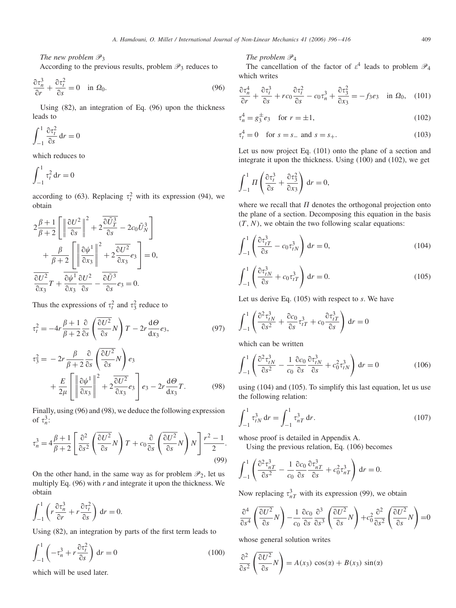*The new problem*  $\mathcal{P}_3$ 

According to the previous results, problem  $\mathscr{P}_3$  reduces to

$$
\frac{\partial \tau_n^3}{\partial r} + \frac{\partial \tau_t^2}{\partial s} = 0 \quad \text{in } \Omega_0. \tag{96}
$$

Using (82), an integration of Eq. (96) upon the thickness leads to

$$
\int_{-1}^{1} \frac{\partial \tau_t^2}{\partial s} dr = 0
$$

which reduces to

$$
\int_{-1}^{1} \tau_t^2 \, \mathrm{d}r = 0
$$

according to (63). Replacing  $\tau_t^2$  with its expression (94), we obtain

$$
2\frac{\beta+1}{\beta+2}\left[\left\|\frac{\partial U^2}{\partial s}\right\|^2+2\frac{\partial \tilde{U}_T^3}{\partial s}-2c_0\tilde{U}_N^3\right] + \frac{\beta}{\beta+2}\left[\left\|\frac{\partial \psi^1}{\partial x_3}\right\|^2+2\frac{\partial U^2}{\partial x_3}e_3\right]=0,
$$
  

$$
\frac{\partial U^2}{\partial x_3}T+\frac{\partial \psi^1}{\partial x_3}\frac{\partial U^2}{\partial s}-\frac{\partial \tilde{U}^3}{\partial s}e_3=0.
$$

Thus the expressions of  $\tau_t^2$  and  $\tau_3^2$  reduce to

$$
\tau_t^2 = -4r \frac{\beta + 1}{\beta + 2} \frac{\partial}{\partial s} \left( \frac{\partial U^2}{\partial s} N \right) T - 2r \frac{d\Theta}{dx_3} e_3,
$$
\n(97)\n
$$
\tau_3^2 = -2r \frac{\beta}{\beta + 2} \frac{\partial}{\partial s} \left( \frac{\partial U^2}{\partial s} N \right) e_3
$$
\n
$$
+ \frac{E}{2\mu} \left[ \left\| \frac{\partial \psi^1}{\partial x_3} \right\|^2 + 2 \frac{\partial U^2}{\partial x_3} e_3 \right] e_3 - 2r \frac{d\Theta}{dx_3} T.
$$
\n(98)

Finally, using (96) and (98), we deduce the following expression of  $\tau_n^3$ :

$$
\tau_n^3 = 4 \frac{\beta + 1}{\beta + 2} \left[ \frac{\partial^2}{\partial s^2} \left( \frac{\partial U^2}{\partial s} N \right) T + c_0 \frac{\partial}{\partial s} \left( \frac{\partial U^2}{\partial s} N \right) N \right] \frac{r^2 - 1}{2}.
$$
\n(99)

On the other hand, in the same way as for problem  $\mathcal{P}_2$ , let us multiply Eq. (96) with *r* and integrate it upon the thickness. We obtain

$$
\int_{-1}^{1} \left( r \frac{\partial \tau_n^3}{\partial r} + r \frac{\partial \tau_t^2}{\partial s} \right) dr = 0.
$$

Using (82), an integration by parts of the first term leads to

$$
\int_{-1}^{1} \left( -\tau_n^3 + r \frac{\partial \tau_r^2}{\partial s} \right) dr = 0 \tag{100}
$$

which will be used later.

# *The problem*  $\mathcal{P}_4$

The cancellation of the factor of  $\varepsilon^4$  leads to problem  $\mathcal{P}_4$ which writes

$$
\frac{\partial \tau_n^4}{\partial r} + \frac{\partial \tau_i^3}{\partial s} + r c_0 \frac{\partial \tau_i^2}{\partial s} - c_0 \tau_n^3 + \frac{\partial \tau_3^2}{\partial x_3} = -f_3 e_3 \quad \text{in } \Omega_0,\tag{101}
$$

$$
\tau_n^4 = g_3^{\pm} e_3 \quad \text{for } r = \pm 1,
$$
 (102)

$$
\tau_t^4 = 0 \quad \text{for } s = s_- \text{ and } s = s_+.
$$
 (103)

Let us now project Eq. (101) onto the plane of a section and integrate it upon the thickness. Using (100) and (102), we get

$$
\int_{-1}^{1} \Pi \left( \frac{\partial \tau_i^3}{\partial s} + \frac{\partial \tau_3^2}{\partial x_3} \right) dr = 0,
$$

where we recall that  $\Pi$  denotes the orthogonal projection onto the plane of a section. Decomposing this equation in the basis  $(T, N)$ , we obtain the two following scalar equations:

$$
\int_{-1}^{1} \left( \frac{\partial \tau_{tT}^{3}}{\partial s} - c_0 \tau_{tN}^{3} \right) dr = 0,
$$
\n(104)

$$
\int_{-1}^{1} \left( \frac{\partial \tau_{tN}^3}{\partial s} + c_0 \tau_{tT}^3 \right) dr = 0.
$$
 (105)

Let us derive Eq. (105) with respect to *s*. We have

$$
\int_{-1}^{1} \left( \frac{\partial^2 \tau_{tN}^3}{\partial s^2} + \frac{\partial c_0}{\partial s} \tau_{tT}^3 + c_0 \frac{\partial \tau_{tT}^3}{\partial s} \right) dr = 0
$$

which can be written

$$
\int_{-1}^{1} \left( \frac{\partial^2 \tau_{tN}^3}{\partial s^2} - \frac{1}{c_0} \frac{\partial c_0}{\partial s} \frac{\partial \tau_{tN}^3}{\partial s} + c_0^2 \tau_{tN}^3 \right) dr = 0 \tag{106}
$$

using (104) and (105). To simplify this last equation, let us use the following relation:

$$
\int_{-1}^{1} \tau_{tN}^{3} dr = \int_{-1}^{1} \tau_{nT}^{3} dr.
$$
 (107)

whose proof is detailed in Appendix A.

Using the previous relation, Eq. (106) becomes

$$
\int_{-1}^{1} \left( \frac{\partial^2 \tau_{nT}^3}{\partial s^2} - \frac{1}{c_0} \frac{\partial c_0}{\partial s} \frac{\partial \tau_{nT}^3}{\partial s} + c_0^2 \tau_{nT}^3 \right) dr = 0.
$$

Now replacing  $\tau_{nT}^3$  with its expression (99), we obtain

$$
\frac{\partial^4}{\partial s^4} \left( \frac{\partial U^2}{\partial s} N \right) - \frac{1}{c_0} \frac{\partial c_0}{\partial s} \frac{\partial^3}{\partial s^3} \left( \frac{\partial U^2}{\partial s} N \right) + c_0^2 \frac{\partial^2}{\partial s^2} \left( \frac{\partial U^2}{\partial s} N \right) = 0
$$

whose general solution writes

$$
\frac{\partial^2}{\partial s^2} \left( \frac{\partial U^2}{\partial s} N \right) = A(x_3) \cos(\alpha) + B(x_3) \sin(\alpha)
$$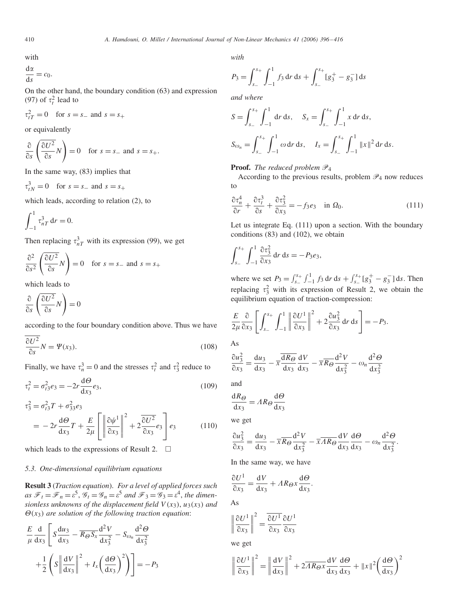with

$$
\frac{\mathrm{d}\alpha}{\mathrm{d}s} = c_0.
$$

On the other hand, the boundary condition (63) and expression (97) of  $\tau_t^2$  lead to

$$
\tau_{tT}^2 = 0 \quad \text{for } s = s_- \text{ and } s = s_+
$$

or equivalently

$$
\frac{\partial}{\partial s} \left( \frac{\partial U^2}{\partial s} N \right) = 0 \quad \text{for } s = s_- \text{ and } s = s_+.
$$

In the same way, (83) implies that

$$
\tau_{tN}^3 = 0 \quad \text{for } s = s_- \text{ and } s = s_+
$$

which leads, according to relation (2), to

$$
\int_{-1}^1 \tau_{nT}^3 \, \mathrm{d}r = 0.
$$

Then replacing  $\tau_{nT}^3$  with its expression (99), we get

$$
\frac{\partial^2}{\partial s^2} \left( \frac{\partial U^2}{\partial s} N \right) = 0 \quad \text{for } s = s_- \text{ and } s = s_+
$$

which leads to

$$
\frac{\partial}{\partial s} \left( \frac{\partial U^2}{\partial s} N \right) = 0
$$

according to the four boundary condition above. Thus we have

$$
\frac{\partial U^2}{\partial s}N = \Psi(x_3). \tag{108}
$$

Finally, we have  $\tau_n^3 = 0$  and the stresses  $\tau_t^2$  and  $\tau_3^2$  reduce to

$$
\tau_t^2 = \sigma_{t3}^2 e_3 = -2r \frac{d\Theta}{dx_3} e_3,
$$
\n(109)

$$
\tau_3^2 = \sigma_{t3}^2 T + \sigma_{33}^2 e_3
$$
  
= 
$$
-2r \frac{d\Theta}{dx_3} T + \frac{E}{2\mu} \left[ \left\| \frac{\partial \psi^1}{\partial x_3} \right\|^2 + 2 \frac{\partial U^2}{\partial x_3} e_3 \right] e_3
$$
 (110)

which leads to the expressions of Result 2.  $\Box$ 

# *5.3. One-dimensional equilibrium equations*

**Result 3** (*Traction equation*). *For a level of applied forces such* as  $\mathscr{F}_t = \mathscr{F}_n = \varepsilon^5$ ,  $\mathscr{G}_t = \mathscr{G}_n = \varepsilon^5$  and  $\mathscr{F}_3 = \mathscr{G}_3 = \varepsilon^4$ , the dimen*sionless unknowns of the displacement field V (x*3*)*, *u*3*(x*3*) and*  $\Theta(x_3)$  *are solution of the following traction equation*:

$$
\frac{E}{\mu} \frac{d}{dx_3} \left[ S \frac{du_3}{dx_3} - \overline{R_{\Theta} S_x} \frac{d^2 V}{dx_3^2} - S_{\omega_n} \frac{d^2 \Theta}{dx_3^2} + \frac{1}{2} \left( S \left\| \frac{dV}{dx_3} \right\|^2 + I_x \left( \frac{d\Theta}{dx_3} \right)^2 \right) \right] = -P_3
$$

*with*

$$
P_3 = \int_{s_-}^{s_+} \int_{-1}^1 f_3 \, dr \, ds + \int_{s_-}^{s_+} [g_3^+ - g_3^-] \, ds
$$

*and where*

$$
S = \int_{s_-}^{s_+} \int_{-1}^1 dr \, ds, \quad S_x = \int_{s_-}^{s_+} \int_{-1}^1 x \, dr \, ds,
$$
  

$$
S_{\omega_n} = \int_{s_-}^{s_+} \int_{-1}^1 \omega \, dr \, ds, \quad I_x = \int_{s_-}^{s_+} \int_{-1}^1 ||x||^2 \, dr \, ds.
$$

**Proof.** *The reduced problem*  $\mathcal{P}_4$ 

According to the previous results, problem  $\mathscr{P}_4$  now reduces to

$$
\frac{\partial \tau_n^4}{\partial r} + \frac{\partial \tau_i^3}{\partial s} + \frac{\partial \tau_3^2}{\partial x_3} = -f_3 e_3 \quad \text{in } \Omega_0. \tag{111}
$$

Let us integrate Eq. (111) upon a section. With the boundary conditions (83) and (102), we obtain

$$
\int_{s_-}^{s_+} \int_{-1}^1 \frac{\partial \tau_3^2}{\partial x_3} dr ds = -P_3 e_3,
$$

where we set  $P_3 = \int_{s_-}^{s_+} \int_{-1}^{1} f_3 \, dr \, ds + \int_{s_-}^{s_+} [g_3^+ - g_3^-] \, ds$ . Then replacing  $\tau_3^2$  with its expression of Result 2, we obtain the equilibrium equation of traction-compression:

$$
\frac{E}{2\mu} \frac{\partial}{\partial x_3} \left[ \int_{s_-}^{s_+} \int_{-1}^1 \left\| \frac{\partial U^1}{\partial x_3} \right\|^2 + 2 \frac{\partial u_3^2}{\partial x_3} dr ds \right] = -P_3.
$$

As

$$
\frac{\partial u_3^2}{\partial x_3} = \frac{\mathrm{d}u_3}{\mathrm{d}x_3} - \overline{x} \frac{\overline{\mathrm{d}R_\Theta}}{\mathrm{d}x_3} \frac{\mathrm{d}V}{\mathrm{d}x_3} - \overline{x} \overline{R_\Theta} \frac{\mathrm{d}^2 V}{\mathrm{d}x_3^2} - \omega_n \frac{\mathrm{d}^2 \Theta}{\mathrm{d}x_3^2}
$$

and

$$
\frac{\mathrm{d}R_{\Theta}}{\mathrm{d}x_3} = AR_{\Theta} \frac{\mathrm{d}\Theta}{\mathrm{d}x_3}
$$

we get

$$
\frac{\partial u_3^2}{\partial x_3} = \frac{\mathrm{d}u_3}{\mathrm{d}x_3} - \overline{x} \overline{R} \overline{\Theta} \frac{\mathrm{d}^2 V}{\mathrm{d}x_3^2} - \overline{x} \overline{A} \overline{R} \overline{\Theta} \frac{\mathrm{d}V}{\mathrm{d}x_3} \frac{\mathrm{d}\Theta}{\mathrm{d}x_3} - \omega_n \frac{\mathrm{d}^2 \Theta}{\mathrm{d}x_3^2}
$$

.

.

In the same way, we have

$$
\frac{\partial U^1}{\partial x_3} = \frac{\mathrm{d}V}{\mathrm{d}x_3} + AR_{\Theta} x \frac{\mathrm{d}\Theta}{\mathrm{d}x_3}
$$

As

$$
\left\|\frac{\partial U^1}{\partial x_3}\right\|^2 = \frac{\overline{\partial U^1}}{\overline{\partial x_3}} \frac{\partial U^1}{\partial x_3}
$$

we get

$$
\left\|\frac{\partial U^1}{\partial x_3}\right\|^2 = \left\|\frac{\mathrm{d}V}{\mathrm{d}x_3}\right\|^2 + 2\overline{AR\theta x}\frac{\mathrm{d}V}{\mathrm{d}x_3}\frac{\mathrm{d}\Theta}{\mathrm{d}x_3} + \|x\|^2 \left(\frac{\mathrm{d}\Theta}{\mathrm{d}x_3}\right)^2
$$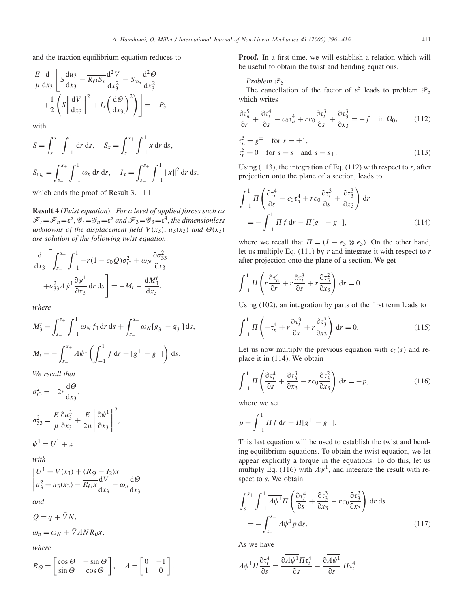and the traction equilibrium equation reduces to

$$
\frac{E}{\mu} \frac{d}{dx_3} \left[ S \frac{du_3}{dx_3} - \overline{R_{\theta} S_x} \frac{d^2 V}{dx_3^2} - S_{\omega_n} \frac{d^2 \Theta}{dx_3^2} + \frac{1}{2} \left( S \left\| \frac{dV}{dx_3} \right\|^2 + I_x \left( \frac{d\Theta}{dx_3} \right)^2 \right) \right] = -P_3
$$

with

$$
S = \int_{s_-}^{s_+} \int_{-1}^1 dr \, ds, \quad S_x = \int_{s_-}^{s_+} \int_{-1}^1 x \, dr \, ds,
$$
  

$$
S_{\omega_n} = \int_{s_-}^{s_+} \int_{-1}^1 \omega_n \, dr \, ds, \quad I_x = \int_{s_-}^{s_+} \int_{-1}^1 ||x||^2 \, dr \, ds.
$$

which ends the proof of Result 3.  $\Box$ 

**Result 4** (*Twist equation*). *For a level of applied forces such as*  $\mathscr{F}_t = \mathscr{F}_n = \varepsilon^5$ ,  $\mathscr{G}_t = \mathscr{G}_n = \varepsilon^5$  and  $\mathscr{F}_3 = \mathscr{G}_3 = \varepsilon^4$ , the dimensionless *unknowns of the displacement field*  $V(x_3)$ ,  $u_3(x_3)$  *and*  $\Theta(x_3)$ *are solution of the following twist equation*:

$$
\frac{\mathrm{d}}{\mathrm{d}x_3} \left[ \int_{s_-}^{s_+} \int_{-1}^1 -r(1-c_0Q)\sigma_{t3}^2 + \omega_N \frac{\partial \sigma_{33}^2}{\partial x_3} + \sigma_{33}^2 \frac{\partial \psi^1}{\partial x_3} \mathrm{d}r \, \mathrm{d}s \right] = -M_t - \frac{\mathrm{d}M_3^t}{\mathrm{d}x_3},
$$

*where*

$$
M_3^t = \int_{s_-}^{s_+} \int_{-1}^1 \omega_N f_3 \, dr \, ds + \int_{s_-}^{s_+} \omega_N [g_3^+ - g_3^-] \, ds,
$$
  

$$
M_t = - \int_{s_-}^{s_+} \overline{A \psi^1} \left( \int_{-1}^1 f \, dr + [g^+ - g^-] \right) \, ds.
$$

*We recall that*

$$
\sigma_{t3}^2 = -2r \frac{d\Theta}{dx_3},
$$
  

$$
\sigma_{33}^2 = \frac{E}{\mu} \frac{\partial u_3^2}{\partial x_3} + \frac{E}{2\mu} \left\| \frac{\partial \psi^1}{\partial x_3} \right\|^2,
$$

$$
\psi^1 = U^1 + x
$$

*with*

$$
\begin{vmatrix} U^1 = V(x_3) + (R_{\Theta} - I_2)x \\ u_3^2 = u_3(x_3) - \overline{R_{\Theta}x} \frac{dV}{dx_3} - \omega_n \frac{d\Theta}{dx_3} \end{vmatrix}
$$

*and*

$$
Q = q + \bar{V}N,
$$

$$
\omega_n = \omega_N + \bar{V} \Lambda N R_{\theta} x,
$$

*where*

$$
R_{\Theta} = \begin{bmatrix} \cos \Theta & -\sin \Theta \\ \sin \Theta & \cos \Theta \end{bmatrix}, \quad A = \begin{bmatrix} 0 & -1 \\ 1 & 0 \end{bmatrix}.
$$

**Proof.** In a first time, we will establish a relation which will be useful to obtain the twist and bending equations.

## *Problem*  $\mathcal{P}_5$ :

The cancellation of the factor of  $\varepsilon^5$  leads to problem  $\mathcal{P}_5$ which writes

$$
\frac{\partial \tau_n^5}{\partial r} + \frac{\partial \tau_t^4}{\partial s} - c_0 \tau_n^4 + r c_0 \frac{\partial \tau_t^3}{\partial s} + \frac{\partial \tau_3^3}{\partial x_3} = -f \quad \text{in } \Omega_0,\tag{112}
$$

$$
\tau_n^5 = g^{\pm} \quad \text{for } r = \pm 1,\tau_i^5 = 0 \quad \text{for } s = s_- \text{ and } s = s_+.
$$
\n(113)

Using  $(113)$ , the integration of Eq.  $(112)$  with respect to *r*, after projection onto the plane of a section, leads to

$$
\int_{-1}^{1} \Pi \left( \frac{\partial \tau_t^4}{\partial s} - c_0 \tau_n^4 + r c_0 \frac{\partial \tau_t^3}{\partial s} + \frac{\partial \tau_3^3}{\partial x_3} \right) dr
$$
  
= 
$$
- \int_{-1}^{1} \Pi f dr - \Pi [g^+ - g^-], \qquad (114)
$$

where we recall that  $\Pi = (I - e_3 \otimes e_3)$ . On the other hand, let us multiply Eq. (111) by *r* and integrate it with respect to *r* after projection onto the plane of a section. We get

$$
\int_{-1}^{1} \Pi \left( r \frac{\partial \tau_n^4}{\partial r} + r \frac{\partial \tau_r^3}{\partial s} + r \frac{\partial \tau_3^2}{\partial x_3} \right) dr = 0.
$$

Using (102), an integration by parts of the first term leads to

$$
\int_{-1}^{1} \Pi \left( -\tau_n^4 + r \frac{\partial \tau_i^3}{\partial s} + r \frac{\partial \tau_3^2}{\partial x_3} \right) dr = 0.
$$
 (115)

Let us now multiply the previous equation with  $c_0(s)$  and replace it in (114). We obtain

$$
\int_{-1}^{1} \Pi \left( \frac{\partial \tau_1^4}{\partial s} + \frac{\partial \tau_3^3}{\partial x_3} - rc_0 \frac{\partial \tau_3^2}{\partial x_3} \right) dr = -p,\tag{116}
$$

where we set

$$
p = \int_{-1}^{1} \Pi f \, \mathrm{d}r + \Pi[g^{+} - g^{-}].
$$

This last equation will be used to establish the twist and bending equilibrium equations. To obtain the twist equation, we let appear explicitly a torque in the equations. To do this, let us multiply Eq. (116) with  $\Lambda \psi^1$ , and integrate the result with respect to *s*. We obtain

$$
\int_{s_-}^{s_+} \int_{-1}^{1} \overline{A\psi^1} \Pi \left( \frac{\partial \tau_t^4}{\partial s} + \frac{\partial \tau_3^3}{\partial x_3} - rc_0 \frac{\partial \tau_3^2}{\partial x_3} \right) dr ds
$$
  
= 
$$
- \int_{s_-}^{s_+} \overline{A\psi^1} \rho ds.
$$
 (117)

As we have

$$
\overline{\Lambda \psi^1} \Pi \frac{\partial \tau_t^4}{\partial s} = \frac{\partial \Lambda \psi^1 \Pi \tau_t^4}{\partial s} - \frac{\partial \Lambda \psi^1}{\partial s} \Pi \tau_t^4
$$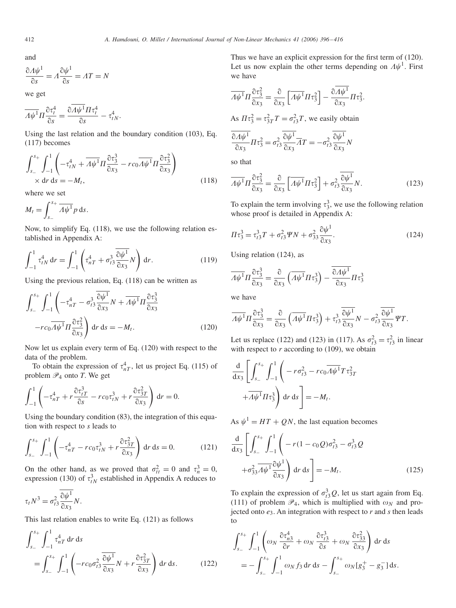and

$$
\frac{\partial A\psi^1}{\partial s} = A\frac{\partial \psi^1}{\partial s} = AT = N
$$

we get

$$
\overline{A\psi^1}\Pi\frac{\partial \tau_t^4}{\partial s} = \frac{\partial \overline{A\psi^1}\Pi \tau_t^4}{\partial s} - \tau_{tN}^4.
$$

Using the last relation and the boundary condition (103), Eq. (117) becomes

$$
\int_{s_-}^{s_+} \int_{-1}^1 \left( -\tau_{tN}^4 + \overline{A\psi^1} \Pi \frac{\partial \tau_3^3}{\partial x_3} - rc_0 \overline{A\psi^1} \Pi \frac{\partial \tau_3^2}{\partial x_3} \right) \times dr \, ds = -M_t,
$$
\n(118)

where we set

$$
M_t = \int_{s_-}^{s_+} \overline{A\psi^1} p \, ds.
$$

Now, to simplify Eq. (118), we use the following relation established in Appendix A:

$$
\int_{-1}^{1} \tau_{tN}^{4} dr = \int_{-1}^{1} \left( \tau_{nT}^{4} + \sigma_{t3}^{3} \frac{\partial \psi^{1}}{\partial x_{3}} N \right) dr.
$$
 (119)

Using the previous relation, Eq. (118) can be written as

$$
\int_{s_-}^{s_+} \int_{-1}^1 \left( -\tau_{nT}^4 - \sigma_{t3}^3 \frac{\overline{\partial \psi^1}}{\partial x_3} N + \overline{A \psi^1} \Pi \frac{\partial \tau_3^3}{\partial x_3} - rc_0 \overline{A \psi^1} \Pi \frac{\partial \tau_3^2}{\partial x_3} \right) dr ds = -M_t.
$$
 (120)

Now let us explain every term of Eq. (120) with respect to the data of the problem.

To obtain the expression of  $\tau_{nT}^4$ , let us project Eq. (115) of problem  $\mathcal{P}_4$  onto *T*. We get

$$
\int_{-1}^{1} \left( -\tau_{nT}^4 + r \frac{\partial \tau_{iT}^3}{\partial s} - r c_0 \tau_{tN}^3 + r \frac{\partial \tau_{3T}^2}{\partial x_3} \right) dr = 0.
$$

Using the boundary condition (83), the integration of this equation with respect to *s* leads to

$$
\int_{s_-}^{s_+} \int_{-1}^1 \left( -\tau_{nT}^4 - r c_0 \tau_{tN}^3 + r \frac{\partial \tau_{3T}^2}{\partial x_3} \right) dr ds = 0.
$$
 (121)

On the other hand, as we proved that  $\sigma_{tt}^2 = 0$  and  $\tau_n^3 = 0$ , expression (130) of  $\tau_{tN}^3$  established in Appendix A reduces to

$$
\tau_t N^3 = \sigma_{t3}^2 \frac{\partial \psi^1}{\partial x_3} N.
$$

This last relation enables to write Eq. (121) as follows

$$
\int_{s_-}^{s_+} \int_{-1}^1 \tau_{n}^4 \tau \, \mathrm{d}r \, \mathrm{d}s
$$
\n
$$
= \int_{s_-}^{s_+} \int_{-1}^1 \left( -r c_0 \sigma_{t3}^2 \frac{\partial \psi^1}{\partial x_3} N + r \frac{\partial \tau_{3T}^2}{\partial x_3} \right) \mathrm{d}r \, \mathrm{d}s. \tag{122}
$$

Thus we have an explicit expression for the first term of (120). Let us now explain the other terms depending on  $\Lambda \psi^1$ . First we have

$$
\overline{\Lambda\psi^1}\Pi\frac{\partial\tau_3^2}{\partial x_3} = \frac{\partial}{\partial x_3} \left[ \overline{\Lambda\psi^1}\Pi\tau_3^2 \right] - \frac{\partial\overline{\Lambda\psi^1}}{\partial x_3}\Pi\tau_3^2.
$$

As  $\Pi \tau_3^2 = \tau_{3T}^2 T = \sigma_{t3}^2 T$ , we easily obtain

$$
\frac{\partial A \psi^{\mathrm{T}}}{\partial x_3} \Pi \tau_3^2 = \sigma_{t3}^2 \frac{\partial \psi^{\mathrm{T}}}{\partial x_3} \overline{A} T = -\sigma_{t3}^2 \frac{\partial \psi^{\mathrm{T}}}{\partial x_3} N
$$

so that

$$
\overline{A\psi^1} \Pi \frac{\partial \tau_3^2}{\partial x_3} = \frac{\partial}{\partial x_3} \left[ \overline{A\psi^1} \Pi \tau_3^2 \right] + \sigma_{t3}^2 \frac{\partial \psi^1}{\partial x_3} N. \tag{123}
$$

To explain the term involving  $\tau_3^3$ , we use the following relation whose proof is detailed in Appendix A:

$$
\Pi \tau_3^3 = \tau_{t3}^3 T + \sigma_{t3}^2 \Psi N + \sigma_{33}^2 \frac{\partial \psi^1}{\partial x_3}.
$$
 (124)

Using relation (124), as

$$
\overline{\Lambda\psi^1}\Pi\frac{\partial\tau_3^3}{\partial x_3} = \frac{\partial}{\partial x_3} \left(\overline{\Lambda\psi^1}\Pi\tau_3^3\right) - \frac{\overline{\partial\Lambda\psi^1}}{\partial x_3}\Pi\tau_3^3
$$

we have

$$
\overline{A\psi^1}\Pi \frac{\partial \tau_3^3}{\partial x_3} = \frac{\partial}{\partial x_3} \left( \overline{A\psi^1}\Pi \tau_3^3 \right) + \tau_{t3}^3 \frac{\partial \overline{\psi^1}}{\partial x_3} N - \sigma_{t3}^2 \frac{\partial \overline{\psi^1}}{\partial x_3} \Psi T.
$$

Let us replace (122) and (123) in (117). As  $\sigma_{t3}^2 = \tau_{t3}^2$  in linear with respect to  $r$  according to (109), we obtain

$$
\frac{\mathrm{d}}{\mathrm{d}x_3} \left[ \int_{s_-}^{s_+} \int_{-1}^1 \left( -r \sigma_{t3}^2 - r c_0 \overline{A \psi^1} T \tau_{3T}^2 + \overline{A \psi^1} \Pi \tau_{3}^3 \right) \mathrm{d}r \mathrm{d}s \right] = -M_t.
$$

As  $\psi^1 = HT + QN$ , the last equation becomes

$$
\frac{\mathrm{d}}{\mathrm{d}x_3} \left[ \int_{s_-}^{s_+} \int_{-1}^1 \left( -r(1 - c_0 Q)\sigma_{t3}^2 - \sigma_{t3}^3 Q \right) \right. \\
\left. + \sigma_{33}^2 \overline{\Lambda \psi^1} \frac{\partial \psi^1}{\partial x_3} \right) \mathrm{d}r \mathrm{d}s \right] = -M_t.
$$
\n(125)

To explain the expression of  $\sigma_{t3}^3 Q$ , let us start again from Eq. (111) of problem  $\mathcal{P}_4$ , which is multiplied with  $\omega_N$  and projected onto *e*3. An integration with respect to *r* and *s* then leads to

$$
\int_{s_-}^{s_+} \int_{-1}^1 \left( \omega_N \frac{\partial \tau_{n3}^4}{\partial r} + \omega_N \frac{\partial \tau_{n3}^3}{\partial s} + \omega_N \frac{\partial \tau_{33}^2}{\partial x_3} \right) dr ds
$$
  
= 
$$
- \int_{s_-}^{s_+} \int_{-1}^1 \omega_N f_3 dr ds - \int_{s_-}^{s_+} \omega_N [g_3^+ - g_3^-] ds.
$$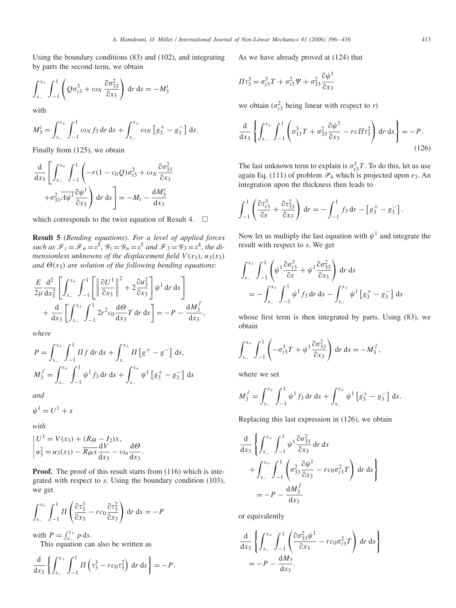Using the boundary conditions (83) and (102), and integrating by parts the second term, we obtain

$$
\int_{s_-}^{s_+} \int_{-1}^1 \left( Q \sigma_{t3}^3 + \omega_N \frac{\partial \sigma_{33}^2}{\partial x_3} \right) dr ds = -M_3^t
$$

with

$$
M_3^t = \int_{s_-}^{s_+} \int_{-1}^1 \omega_N f_3 \, dr \, ds + \int_{s_-}^{s_+} \omega_N \left[ g_3^+ - g_3^- \right] \, ds.
$$

Finally from (125), we obtain

$$
\frac{\mathrm{d}}{\mathrm{d}x_3} \left[ \int_{s_-}^{s_+} \int_{-1}^1 \left( -r(1 - c_0 Q) \sigma_{t3}^2 + \omega_N \frac{\partial \sigma_{33}^2}{\partial x_3} + \sigma_{33}^2 \overline{\mathrm{d}y^1} \frac{\partial \psi^1}{\partial x_3} \right) \mathrm{d}r \, \mathrm{d}s \right] = -M_t - \frac{\mathrm{d}M_3^t}{\mathrm{d}x_3}
$$

which corresponds to the twist equation of Result 4.  $\Box$ 

**Result 5** (*Bending equations*). *For a level of applied forces* such as  $\mathcal{F}_t = \mathcal{F}_n = \varepsilon^5$ ,  $\mathcal{G}_t = \mathcal{G}_n = \varepsilon^5$  and  $\mathcal{F}_3 = \mathcal{G}_3 = \varepsilon^4$ , the di*mensionless unknowns of the displacement field*  $V(x_3)$ ,  $u_3(x_3)$ *and*  $\Theta(x_3)$  *are solution of the following bending equations:* 

$$
\frac{E}{2\mu}\frac{d^2}{dx_3^2}\left[\int_{s_-}^{s_+}\int_{-1}^1\left[\left\|\frac{\partial U^1}{\partial x_3}\right\|^2+2\frac{\partial u_3^2}{\partial x_3}\right]\psi^1 dr ds\right] \n+\frac{d}{dx_3}\left[\int_{s_-}^{s_+}\int_{-1}^1 2r^2c_0\frac{d\Theta}{dx_3}T dr ds\right]=-P-\frac{dM_3^f}{dx_3},
$$

*where*

$$
P = \int_{s_-}^{s_+} \int_{-1}^{1} \Pi f \, \mathrm{d}r \, \mathrm{d}s + \int_{s_-}^{s_+} \Pi \left[ g^+ - g^- \right] \, \mathrm{d}s,
$$
  

$$
M_3^f = \int_{s_-}^{s_+} \int_{-1}^{1} \psi^1 f_3 \, \mathrm{d}r \, \mathrm{d}s + \int_{s_-}^{s_+} \psi^1 \left[ g_3^+ - g_3^- \right] \, \mathrm{d}s
$$

*and*

 $\psi^1 = U^1 + x$ 

*with*

$$
\begin{vmatrix} U^1 = V(x_3) + (R_{\Theta} - I_2)x, \\ u_3^2 = u_3(x_3) - \overline{R_{\Theta}x} \frac{dV}{dx_3} - \omega_n \frac{d\Theta}{dx_3}.\end{vmatrix}
$$

**Proof.** The proof of this result starts from (116) which is integrated with respect to *s*. Using the boundary condition (103), we get

$$
\int_{s_-}^{s_+} \int_{-1}^1 H\left(\frac{\partial \tau_3^3}{\partial x_3} - rc_0 \frac{\partial \tau_3^2}{\partial x_3}\right) dr ds = -P
$$

with  $P = \int_{s_-}^{s_+} p \, ds$ . This equation can also be written as

$$
\frac{\mathrm{d}}{\mathrm{d}x_3}\left\{\int_{s_-}^{s_+}\int_{-1}^1\Pi\left(\tau_3^3-r c_0\tau_3^2\right)\mathrm{d}r\,\mathrm{d}s\right\}=-P.
$$

As we have already proved at (124) that

$$
\Pi \tau_3^3 = \sigma_{t3}^3 T + \sigma_{t3}^2 \Psi + \sigma_{33}^2 \frac{\partial \psi^1}{\partial x_3}
$$

we obtain  $(\sigma_{t3}^2)$  being linear with respect to *r*)

$$
\frac{d}{dx_3} \left\{ \int_{s_-}^{s_+} \int_{-1}^1 \left( \sigma_{13}^3 T + \sigma_{33}^2 \frac{\partial \psi^3}{\partial x_3} - rc \Pi \tau_3^2 \right) dr ds \right\} = -P.
$$
\n(126)

The last unknown term to explain is  $\sigma_{t3}^3T$ . To do this, let us use again Eq. (111) of problem P<sup>4</sup> which is projected upon *e*3. An integration upon the thickness then leads to

$$
\int_{-1}^{1} \left( \frac{\partial \tau_{13}^{3}}{\partial s} + \frac{\partial \tau_{33}^{2}}{\partial x_{3}} \right) dr = - \int_{-1}^{1} f_{3} dr - \left[ g_{3}^{+} - g_{3}^{-} \right].
$$

Now let us multiply the last equation with  $\psi^1$  and integrate the result with respect to *s*. We get

$$
\int_{s_-}^{s_+} \int_{-1}^1 \left( \psi^1 \frac{\partial \sigma_{t3}^3}{\partial s} + \psi^1 \frac{\partial \sigma_{33}^2}{\partial x_3} \right) dr ds
$$
  
=  $-\int_{s_-}^{s_+} \int_{-1}^1 \psi^1 f_3 dr ds - \int_{s_-}^{s_+} \psi^1 \left[ g_3^+ - g_3^- \right] ds$ 

whose first term is then integrated by parts. Using (83), we obtain

$$
\int_{s_-}^{s_+} \int_{-1}^1 \left( -\sigma_{t3}^3 T + \psi^1 \frac{\partial \sigma_{33}^2}{\partial x_3} \right) dr ds = -M_3^f,
$$

where we set

$$
M_3^f = \int_{s_-}^{s_+} \int_{-1}^1 \psi^1 f_3 \, dr \, ds + \int_{s_-}^{s_+} \psi^1 \left[ g_3^+ - g_3^- \right] \, ds.
$$

Replacing this last expression in (126), we obtain

$$
\frac{\mathrm{d}}{\mathrm{d}x_3} \left\{ \int_{s_-}^{s_+} \int_{-1}^1 \psi^1 \frac{\partial \sigma_{33}^2}{\partial x_3} \, \mathrm{d}r \, \mathrm{d}s \n+ \int_{s_-}^{s_+} \int_{-1}^1 \left( \sigma_{33}^2 \frac{\partial \psi^1}{\partial x_3} - r c_0 \sigma_{t3}^2 T \right) \mathrm{d}r \, \mathrm{d}s \right\} \n= -P - \frac{\mathrm{d}M_3^f}{\mathrm{d}x_3}
$$

or equivalently

$$
\frac{\mathrm{d}}{\mathrm{d}x_3} \left\{ \int_{s_-}^{s_+} \int_{-1}^1 \left( \frac{\partial \sigma_{33}^2 \psi^1}{\partial x_3} - r c_0 \sigma_{t3}^2 T \right) \mathrm{d}r \, \mathrm{d}s \right\}
$$
  
=  $-P - \frac{\mathrm{d}M_3}{\mathrm{d}x_3}.$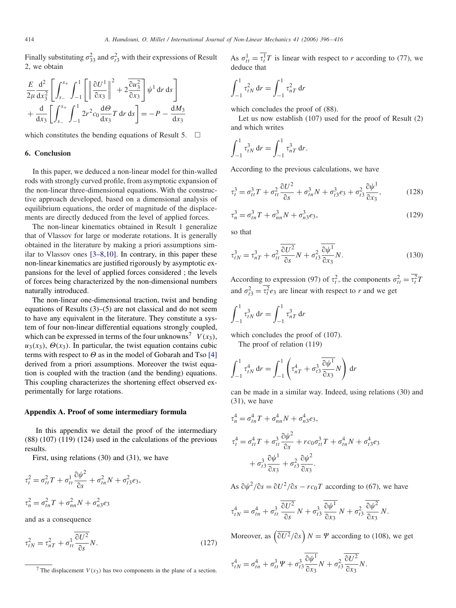Finally substituting  $\sigma_{33}^2$  and  $\sigma_{t3}^2$  with their expressions of Result 2, we obtain

$$
\frac{E}{2\mu} \frac{d^2}{dx_3^2} \left[ \int_{s_-}^{s_+} \int_{-1}^1 \left[ \left\| \frac{\partial U^1}{\partial x_3} \right\|^2 + 2 \frac{\partial u_3^2}{\partial x_3} \right] \psi^1 dr ds \right] + \frac{d}{dx_3} \left[ \int_{s_-}^{s_+} \int_{-1}^1 2r^2 c_0 \frac{d\Theta}{dx_3} T dr ds \right] = -P - \frac{dM_3}{dx_3}
$$

which constitutes the bending equations of Result 5.  $\Box$ 

## **6. Conclusion**

In this paper, we deduced a non-linear model for thin-walled rods with strongly curved profile, from asymptotic expansion of the non-linear three-dimensional equations. With the constructive approach developed, based on a dimensional analysis of equilibrium equations, the order of magnitude of the displacements are directly deduced from the level of applied forces.

The non-linear kinematics obtained in Result 1 generalize that of Vlassov for large or moderate rotations. It is generally obtained in the literature by making a priori assumptions similar to Vlassov ones [3–8,10]. In contrary, in this paper these non-linear kinematics are justified rigorously by asymptotic expansions for the level of applied forces considered ; the levels of forces being characterized by the non-dimensional numbers naturally introduced.

The non-linear one-dimensional traction, twist and bending equations of Results (3)–(5) are not classical and do not seem to have any equivalent in the literature. They constitute a system of four non-linear differential equations strongly coupled, which can be expressed in terms of the four unknowns<sup>7</sup>  $V(x_3)$ ,  $u_3(x_3)$ ,  $\Theta(x_3)$ . In particular, the twist equation contains cubic terms with respect to  $\Theta$  as in the model of Gobarah and Tso [\[4\]](#page-19-0) derived from a priori assumptions. Moreover the twist equation is coupled with the traction (and the bending) equations. This coupling characterizes the shortening effect observed experimentally for large rotations.

#### **Appendix A. Proof of some intermediary formula**

In this appendix we detail the proof of the intermediary (88) (107) (119) (124) used in the calculations of the previous results.

First, using relations (30) and (31), we have

$$
\tau_t^2 = \sigma_{tt}^2 T + \sigma_{tt}^1 \frac{\partial \psi^2}{\partial s} + \sigma_{tn}^2 N + \sigma_{t3}^2 e_3,
$$
  

$$
\tau_n^2 = \sigma_{tn}^2 T + \sigma_{nn}^2 N + \sigma_{n3}^2 e_3
$$

and as a consequence

$$
\tau_{tN}^2 = \tau_{nT}^2 + \sigma_{tt}^1 \frac{\overline{\partial U^2}}{\partial s} N. \tag{127}
$$

As  $\sigma_{tt}^1 = \tau_t^1 T$  is linear with respect to *r* according to (77), we deduce that

$$
\int_{-1}^{1} \tau_{tN}^{2} dr = \int_{-1}^{1} \tau_{nT}^{2} dr
$$

which concludes the proof of (88).

Let us now establish (107) used for the proof of Result (2) and which writes

$$
\int_{-1}^{1} \tau_{tN}^{3} dr = \int_{-1}^{1} \tau_{nT}^{3} dr.
$$

According to the previous calculations, we have

$$
\tau_t^3 = \sigma_{tt}^3 T + \sigma_{tt}^2 \frac{\partial U^2}{\partial s} + \sigma_{tn}^3 N + \sigma_{t3}^3 e_3 + \sigma_{t3}^2 \frac{\partial \psi^1}{\partial x_3},\tag{128}
$$

$$
\tau_n^3 = \sigma_{tn}^3 T + \sigma_{nn}^3 N + \sigma_{n3}^3 e_3,\tag{129}
$$

so that

$$
\tau_{tN}^3 = \tau_{nT}^3 + \sigma_{tt}^2 \frac{\overline{\partial U^2}}{\partial s} N + \sigma_{t3}^2 \frac{\overline{\partial \psi^1}}{\partial x_3} N. \tag{130}
$$

According to expression (97) of  $\tau_t^2$ , the components  $\sigma_{tt}^2 = \tau_t^2 T$ and  $\sigma_{t3}^2 = \tau_t^2 e_3$  are linear with respect to *r* and we get

$$
\int_{-1}^{1} \tau_{tN}^{3} dr = \int_{-1}^{1} \tau_{nT}^{3} dr
$$

which concludes the proof of (107).

The proof of relation (119)

$$
\int_{-1}^1 \tau_{tN}^4 dr = \int_{-1}^1 \left( \tau_{nT}^4 + \sigma_{t3}^3 \frac{\partial \psi^1}{\partial x_3} N \right) dr
$$

can be made in a similar way. Indeed, using relations (30) and (31), we have

$$
\tau_n^4 = \sigma_{tn}^4 T + \sigma_{nn}^4 N + \sigma_{ns}^4 e_3,
$$
  
\n
$$
\tau_t^4 = \sigma_{tt}^4 T + \sigma_{tt}^3 \frac{\partial \psi^2}{\partial s} + r c_0 \sigma_{tt}^3 T + \sigma_{tn}^4 N + \sigma_{ts}^4 e_3
$$
  
\n
$$
+ \sigma_{ts}^3 \frac{\partial \psi^1}{\partial x_3} + \sigma_{ts}^2 \frac{\partial \psi^2}{\partial x_3}.
$$

As  $\partial \psi^2 / \partial s = \partial U^2 / \partial s - r c_0 T$  according to (67), we have

$$
\tau_{tN}^4 = \sigma_{tn}^4 + \sigma_{tt}^3 \frac{\overline{\partial U^2}}{\partial s} N + \sigma_{t3}^3 \frac{\overline{\partial \psi^1}}{\partial x_3} N + \sigma_{t3}^2 \frac{\overline{\partial \psi^2}}{\partial x_3} N.
$$

Moreover, as  $\left(\frac{\partial U^2}{\partial s}\right)N = \Psi$  according to (108), we get

$$
\tau_{tN}^4 = \sigma_{tn}^4 + \sigma_{tt}^3 \Psi + \sigma_{t3}^3 \frac{\partial \psi^1}{\partial x_3} N + \sigma_{t3}^2 \frac{\partial U^2}{\partial x_3} N.
$$

<sup>&</sup>lt;sup>7</sup> The displacement  $V(x_3)$  has two components in the plane of a section.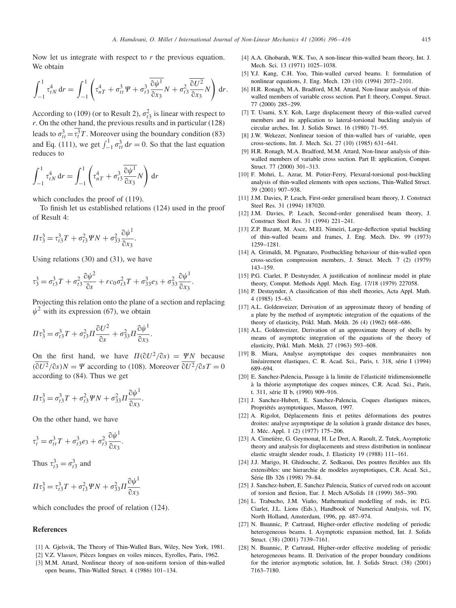<span id="page-19-0"></span>Now let us integrate with respect to *r* the previous equation. We obtain

$$
\int_{-1}^1 \tau_{tN}^4 dr = \int_{-1}^1 \left( \tau_{nT}^4 + \sigma_{tt}^3 \Psi + \sigma_{t3}^3 \frac{\partial \psi^1}{\partial x_3} N + \sigma_{t3}^2 \frac{\partial U^2}{\partial x_3} N \right) dr.
$$

According to (109) (or to Result 2),  $\sigma_{t3}^2$  is linear with respect to *r*. On the other hand, the previous results and in particular (128) leads to  $\sigma_{tt}^3 = \tau_t^3 T$ . Moreover using the boundary condition (83) and Eq. (111), we get  $\int_{-1}^{1} \sigma_{tt}^{3} dr = 0$ . So that the last equation reduces to

$$
\int_{-1}^1 \tau_{tN}^4 dr = \int_{-1}^1 \left( \tau_{nT}^4 + \sigma_{t3}^3 \frac{\partial \psi^1}{\partial x_3} N \right) dr
$$

which concludes the proof of (119).

To finish let us established relations (124) used in the proof of Result 4:

$$
\Pi \tau_3^3 = \tau_{t3}^3 T + \sigma_{t3}^2 \Psi N + \sigma_{33}^2 \frac{\partial \psi^1}{\partial x_3}.
$$

Using relations (30) and (31), we have

$$
\tau_3^3 = \sigma_{t3}^3 T + \sigma_{t3}^2 \frac{\partial \psi^2}{\partial s} + r c_0 \sigma_{t3}^2 T + \sigma_{33}^3 e_3 + \sigma_{33}^2 \frac{\partial \psi^1}{\partial x_3}
$$

Projecting this relation onto the plane of a section and replacing  $\psi^2$  with its expression (67), we obtain

.

$$
\Pi \tau_3^3 = \sigma_{t3}^3 T + \sigma_{t3}^2 \Pi \frac{\partial U^2}{\partial s} + \sigma_{33}^2 \Pi \frac{\partial \psi^1}{\partial x_3}.
$$

On the first hand, we have  $\Pi(\partial U^2/\partial s) = \Psi N$  because  $(\overline{\partial U^2}/\partial s)N = \Psi$  according to (108). Moreover  $\overline{\partial U^2}/\partial sT = 0$ according to (84). Thus we get

.

$$
\Pi \tau_3^3 = \sigma_{t3}^3 T + \sigma_{t3}^2 \Psi N + \sigma_{33}^2 \Pi \frac{\partial \psi^1}{\partial x_3}.
$$

On the other hand, we have

$$
\tau_t^3 = \sigma_{tt}^3 T + \sigma_{t3}^3 e_3 + \sigma_{t3}^2 \frac{\partial \psi^1}{\partial x_3}
$$

Thus  $\tau_{t3}^3 = \sigma_{t3}^3$  and

$$
\Pi \tau_3^3 = \tau_{t3}^3 T + \sigma_{t3}^2 \Psi N + \sigma_{33}^2 \Pi \frac{\partial \psi^1}{\partial x_3}
$$

which concludes the proof of relation (124).

# References

- [1] A. Gjelsvik, The Theory of Thin-Walled Bars, Wiley, New York, 1981.
- [2] V.Z. Vlassov, Pièces longues en voiles minces, Eyrolles, Paris, 1962.
- [3] M.M. Attard, Nonlinear theory of non-uniform torsion of thin-walled open beams, Thin-Walled Struct. 4 (1986) 101–134.
- [4] A.A. Ghobarah, W.K. Tso, A non-linear thin-walled beam theory, Int. J. Mech. Sci. 13 (1971) 1025–1038.
- [5] Y.J. Kang, C.H. Yoo, Thin-walled curved beams. I: formulation of nonlinear equations, J. Eng. Mech. 120 (10) (1994) 2072–2101.
- [6] H.R. Ronagh, M.A. Bradford, M.M. Attard, Non-linear analysis of thinwalled members of variable cross section. Part I: theory, Comput. Struct. 77 (2000) 285–299.
- [7] T. Usami, S.Y. Koh, Large displacement theory of thin-walled curved members and its application to lateral-torsional buckling analysis of circular arches, Int. J. Solids Struct. 16 (1980) 71–95.
- [8] J.W. Wekezer, Nonlinear torsion of thin-walled bars of variable, open cross-sections, Int. J. Mech. Sci. 27 (10) (1985) 631–641.
- [9] H.R. Ronagh, M.A. Bradford, M.M. Attard, Non-linear analysis of thinwalled members of variable cross section. Part II: application, Comput. Struct. 77 (2000) 301-313.
- [10] F. Mohri, L. Azrar, M. Potier-Ferry, Flexural-torsional post-buckling analysis of thin-walled elements with open sections, Thin-Walled Struct. 39 (2001) 907–938.
- [11] J.M. Davies, P. Leach, First-order generalised beam theory, J. Construct Steel Res. 31 (1994) 187020.
- [12] J.M. Davies, P. Leach, Second-order generalised beam theory, J. Construct Steel Res. 31 (1994) 221–241.
- [13] Z.P. Bazant, M. Asce, M.El. Nimeiri, Large-deflection spatial buckling of thin-walled beams and frames, J. Eng. Mech. Div. 99 (1973) 1259–1281.
- [14] A. Grimaldi, M. Pignataro, Postbuckling behaviour of thin-walled open cross-section compression members, J. Struct. Mech. 7 (2) (1979) 143–159.
- [15] P.G. Ciarlet, P. Destuynder, A justification of nonlinear model in plate theory, Comput. Methods Appl. Mech. Eng. 17/18 (1979) 227058.
- [16] P. Destuynder, A classification of thin shell theories, Acta Appl. Math. 4 (1985) 15–63.
- [17] A.L. Goldenveizer, Derivation of an approximate theory of bending of a plate by the method of asymptotic integration of the equations of the theory of elasticity, Prikl. Math. Mekh. 26 (4) (1962) 668–686.
- [18] A.L. Goldenveizer, Derivation of an approximate theory of shells by means of asymptotic integration of the equations of the theory of elasticity, Prikl. Math. Mekh. 27 (1963) 593–608.
- [19] B. Miara, Analyse asymptotique des coques membranaires non linéairement élastiques, C. R. Acad. Sci., Paris, t. 318, série I (1994) 689–694.
- [20] E. Sanchez-Palencia, Passage à la limite de l'élasticité tridimensionnelle à la théorie asymptotique des coques minces, C.R. Acad. Sci., Paris, t. 311, série II b, (1990) 909–916.
- [21] J. Sanchez-Hubert, E. Sanchez-Palencia, Coques élastiques minces, Propriétés asymptotiques, Masson, 1997.
- [22] A. Rigolot, Déplacements finis et petites déformations des poutres droites: analyse asymptotique de la solution à grande distance des bases, J. Méc. Appl. 1 (2) (1977) 175–206.
- [23] A. Cimetière, G. Geymonat, H. Le Dret, A. Raoult, Z. Tutek, Asymptotic theory and analysis for displacements and stress distribution in nonlinear elastic straight slender roads, J. Elasticity 19 (1988) 111–161.
- [24] J.J. Marigo, H. Ghidouche, Z. Sedkaoui, Des poutres flexibles aux fils extensibles: une hierarchie de modèles asymptotiques, C.R. Acad. Sci., Série IIb 326 (1998) 79–84.
- [25] J. Sanchez-hubert, E. Sanchez Palencia, Statics of curved rods on account of torsion and flexion, Eur. J. Mech A/Solids 18 (1999) 365–390.
- [26] L. Trabucho, J.M. Viaño, Mathematical modelling of rods, in: P.G. Ciarlet, J.L. Lions (Eds.), Handbook of Numerical Analysis, vol. IV, North Holland, Amsterdam, 1996, pp. 487–974.
- [27] N. Buannic, P. Cartraud, Higher-order effective modeling of periodic heterogeneous beams. I. Asymptotic expansion method, Int. J. Solids Struct. (38) (2001) 7139–7161.
- [28] N. Buannic, P. Cartraud, Higher-order effective modeling of periodic heterogeneous beams. II. Derivation of the proper boundary conditions for the interior asymptotic solution, Int. J. Solids Struct. (38) (2001) 7163–7180.